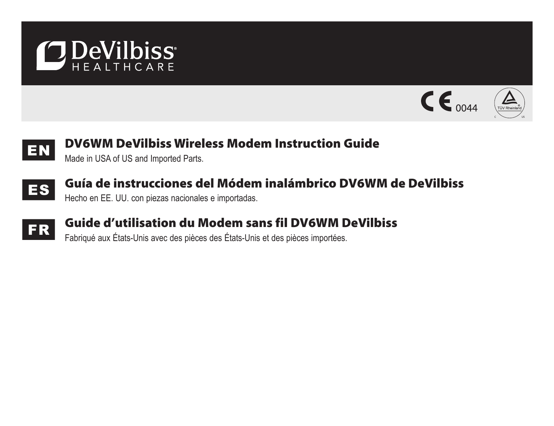







# EN DV6WM DeVilbiss Wireless Modem Instruction Guide

Made in USA of US and Imported Parts.



# ES Guía de instrucciones del Módem inalámbrico DV6WM de DeVilbiss

Hecho en EE. UU. con piezas nacionales e importadas.



# FR Guide d'utilisation du Modem sans fil DV6WM DeVilbiss

Fabriqué aux États-Unis avec des pièces des États-Unis et des pièces importées.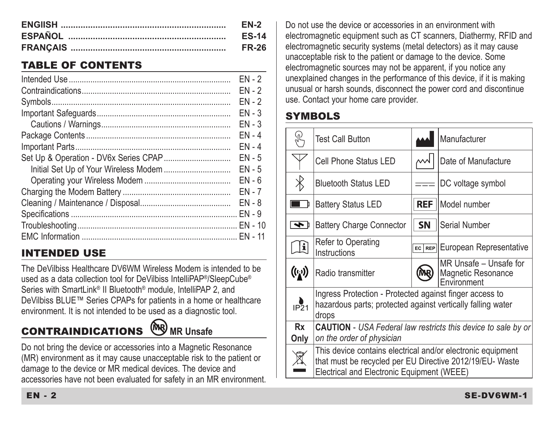| <b>EN-2</b>  |
|--------------|
| <b>ES-14</b> |
| <b>FR-26</b> |

## TABLE OF CONTENTS

|                                       | $FN - 2$ |
|---------------------------------------|----------|
|                                       | FN - 2   |
|                                       | FN - 2   |
|                                       | $FN - 3$ |
|                                       | $EN - 3$ |
|                                       | $FN - 4$ |
|                                       | $FN - 4$ |
|                                       | $FN - 5$ |
| Initial Set Up of Your Wireless Modem | $FN - 5$ |
|                                       | $FN - 6$ |
|                                       | $FN - 7$ |
|                                       | $FN - 8$ |
|                                       |          |
|                                       |          |
|                                       |          |

## INTENDED USE

The DeVilbiss Healthcare DV6WM Wireless Modem is intended to be used as a data collection tool for DeVilbiss IntelliPAP®/SleepCube® Series with SmartLink® II Bluetooth® module, IntelliPAP 2, and DeVilbiss BLUE™ Series CPAPs for patients in a home or healthcare environment. It is not intended to be used as a diagnostic tool.

# **CONTRAINDICATIONS**  $(\overline{MR})$  MR Unsafe

Do not bring the device or accessories into a Magnetic Resonance (MR) environment as it may cause unacceptable risk to the patient or damage to the device or MR medical devices. The device and accessories have not been evaluated for safety in an MR environment. Do not use the device or accessories in an environment with electromagnetic equipment such as CT scanners, Diathermy, RFID and electromagnetic security systems (metal detectors) as it may cause unacceptable risk to the patient or damage to the device. Some electromagnetic sources may not be apparent, if you notice any unexplained changes in the performance of this device, if it is making unusual or harsh sounds, disconnect the power cord and discontinue use. Contact your home care provider.

## **SYMBOLS**

|                     | <b>Test Call Button</b>                                                                                                                                               |            | Manufacturer                                                |  |  |
|---------------------|-----------------------------------------------------------------------------------------------------------------------------------------------------------------------|------------|-------------------------------------------------------------|--|--|
|                     | Cell Phone Status LED                                                                                                                                                 |            | Date of Manufacture                                         |  |  |
| $\times$            | <b>Bluetooth Status LED</b>                                                                                                                                           |            | DC voltage symbol                                           |  |  |
|                     | <b>Battery Status LED</b>                                                                                                                                             | <b>REF</b> | Model number                                                |  |  |
| $\overline{\bm{f}}$ | <b>Battery Charge Connector</b>                                                                                                                                       | <b>SN</b>  | Serial Number                                               |  |  |
| Ŀ                   | Refer to Operating<br>Instructions                                                                                                                                    | EC REP     | European Representative                                     |  |  |
| $(\mathfrak{t}_i)$  | Radio transmitter                                                                                                                                                     |            | MR Unsafe - Unsafe for<br>Magnetic Resonance<br>Environment |  |  |
| IP <sub>21</sub>    | Ingress Protection - Protected against finger access to<br>hazardous parts; protected against vertically falling water<br>drops                                       |            |                                                             |  |  |
| Rx<br>Only          | <b>CAUTION</b> - USA Federal law restricts this device to sale by or<br>on the order of physician                                                                     |            |                                                             |  |  |
|                     | This device contains electrical and/or electronic equipment<br>that must be recycled per EU Directive 2012/19/EU- Waste<br>Electrical and Electronic Equipment (WEEE) |            |                                                             |  |  |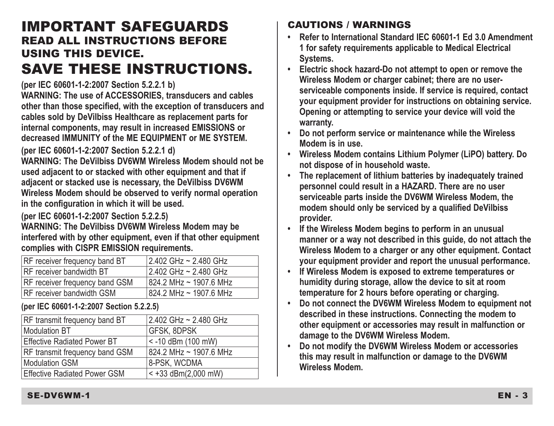## IMPORTANT SAFEGUARDS READ ALL INSTRUCTIONS BEFORE USING THIS DEVICE. SAVE THESE INSTRUCTIONS.

**(per IEC 60601-1-2:2007 Section 5.2.2.1 b)**

**WARNING: The use of ACCESSORIES, transducers and cables other than those specified, with the exception of transducers and cables sold by DeVilbiss Healthcare as replacement parts for internal components, may result in increased EMISSIONS or decreased IMMUNITY of the ME EQUIPMENT or ME SYSTEM.**

**(per IEC 60601-1-2:2007 Section 5.2.2.1 d)**

**WARNING: The DeVilbiss DV6WM Wireless Modem should not be used adjacent to or stacked with other equipment and that if adjacent or stacked use is necessary, the DeVilbiss DV6WM Wireless Modem should be observed to verify normal operation in the configuration in which it will be used.**

**(per IEC 60601-1-2:2007 Section 5.2.2.5)**

**WARNING: The DeVilbiss DV6WM Wireless Modem may be interfered with by other equipment, even if that other equipment complies with CISPR EMISSION requirements.**

| RF receiver frequency band BT         | 2.402 GHz ~ 2.480 GHz  |
|---------------------------------------|------------------------|
| RF receiver bandwidth BT              | 2.402 GHz ~ 2.480 GHz  |
| <b>RF</b> receiver frequency band GSM | 824.2 MHz ~ 1907.6 MHz |
| RF receiver bandwidth GSM             | 824.2 MHz ~ 1907.6 MHz |

**(per IEC 60601-1-2:2007 Section 5.2.2.5)**

| RF transmit frequency band BT       | 2.402 GHz ~ 2.480 GHz  |
|-------------------------------------|------------------------|
| Modulation BT                       | <b>GFSK, 8DPSK</b>     |
| <b>Effective Radiated Power BT</b>  | $< -10$ dBm (100 mW)   |
| RF transmit frequency band GSM      | 824.2 MHz ~ 1907.6 MHz |
| <b>Modulation GSM</b>               | 8-PSK, WCDMA           |
| <b>Effective Radiated Power GSM</b> | $< +33$ dBm(2,000 mW)  |

### CAUTIONS / WARNINGS

- **• Refer to International Standard IEC 60601-1 Ed 3.0 Amendment 1 for safety requirements applicable to Medical Electrical Systems.**
- **• Electric shock hazard-Do not attempt to open or remove the Wireless Modem or charger cabinet; there are no userserviceable components inside. If service is required, contact your equipment provider for instructions on obtaining service. Opening or attempting to service your device will void the warranty.**
- **Do not perform service or maintenance while the Wireless Modem is in use.**
- **• Wireless Modem contains Lithium Polymer (LiPO) battery. Do not dispose of in household waste.**
- **The replacement of lithium batteries by inadequately trained personnel could result in a HAZARD. There are no user serviceable parts inside the DV6WM Wireless Modem, the modem should only be serviced by a qualified DeVilbiss provider.**
- **If the Wireless Modem begins to perform in an unusual manner or a way not described in this guide, do not attach the Wireless Modem to a charger or any other equipment. Contact your equipment provider and report the unusual performance.**
- **• If Wireless Modem is exposed to extreme temperatures or humidity during storage, allow the device to sit at room temperature for 2 hours before operating or charging.**
- **Do not connect the DV6WM Wireless Modem to equipment not described in these instructions. Connecting the modem to other equipment or accessories may result in malfunction or damage to the DV6WM Wireless Modem.**
- **• Do not modify the DV6WM Wireless Modem or accessories this may result in malfunction or damage to the DV6WM Wireless Modem.**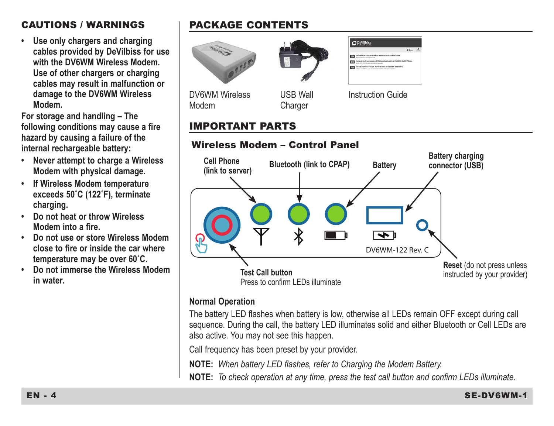#### CAUTIONS / WARNINGS

**• Use only chargers and charging cables provided by DeVilbiss for use with the DV6WM Wireless Modem. Use of other chargers or charging cables may result in malfunction or damage to the DV6WM Wireless Modem.**

**For storage and handling – The following conditions may cause a fire hazard by causing a failure of the internal rechargeable battery:** 

- **• Never attempt to charge a Wireless Modem with physical damage.**
- **• If Wireless Modem temperature exceeds 50˚C (122˚F), terminate charging.**
- **• Do not heat or throw Wireless Modem into a fire.**
- **• Do not use or store Wireless Modem close to fire or inside the car where temperature may be over 60˚C.**
- **• Do not immerse the Wireless Modem in water.**

## PACKAGE CONTENTS





#### **Normal Operation**

The battery LED flashes when battery is low, otherwise all LEDs remain OFF except during call sequence. During the call, the battery LED illuminates solid and either Bluetooth or Cell LEDs are also active. You may not see this happen.

Call frequency has been preset by your provider.

**NOTE:** *When battery LED flashes, refer to Charging the Modem Battery.*

**NOTE:** *To check operation at any time, press the test call button and confirm LEDs illuminate.*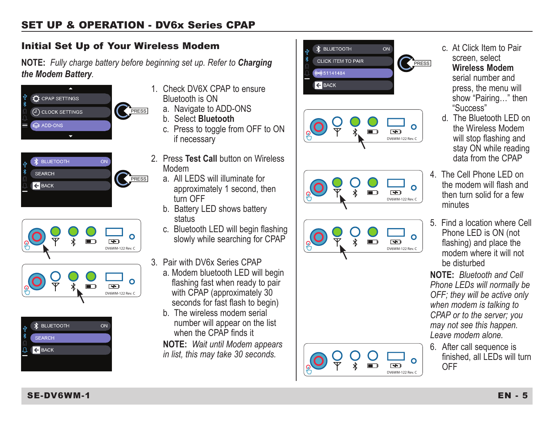#### Initial Set Up of Your Wireless Modem

**NOTE:** *Fully charge battery before beginning set up. Refer to Charging the Modem Battery.*











- 1. Check DV6X CPAP to ensure Bluetooth is ON
	- a. Navigate to ADD-ONS
	- b. Select **Bluetooth**
	- c. Press to toggle from OFF to ON if necessary
- 2. Press **Test Call** button on Wireless Modem
	- a. All LEDS will illuminate for approximately 1 second, then turn OFF
	- b. Battery LED shows battery status
	- c. Bluetooth LED will begin flashing slowly while searching for CPAP
- 3. Pair with DV6x Series CPAP
	- a. Modem bluetooth LED will begin flashing fast when ready to pair with CPAP (approximately 30 seconds for fast flash to begin)
	- b. The wireless modem serial number will appear on the list when the CPAP finds it

**NOTE:** *Wait until Modem appears in list, this may take 30 seconds.*











- c. At Click Item to Pair screen, select **Wireless Modem** serial number and press, the menu will show "Pairing…" then "Success"
- d. The Bluetooth LED on the Wireless Modem will stop flashing and stay ON while reading data from the CPAP
- 4. The Cell Phone LED on the modem will flash and then turn solid for a few minutes
- 5. Find a location where Cell Phone LED is ON (not flashing) and place the modem where it will not be disturbed

**NOTE:** *Bluetooth and Cell Phone LEDs will normally be OFF; they will be active only when modem is talking to CPAP or to the server; you may not see this happen. Leave modem alone.*

6. After call sequence is finished, all LEDs will turn OFF

#### SE-DV6WM-1 EN - 5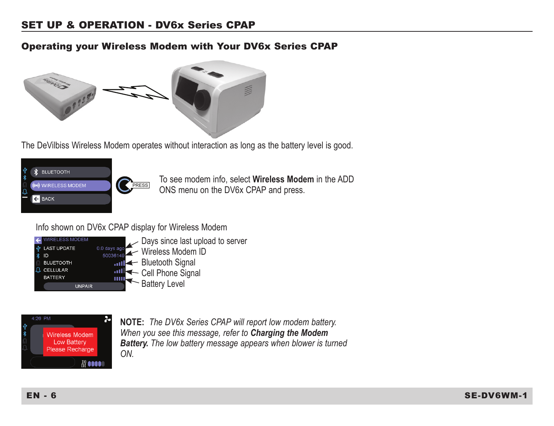#### Operating your Wireless Modem with Your DV6x Series CPAP



The DeVilbiss Wireless Modem operates without interaction as long as the battery level is good.





To see modem info, select **Wireless Modem** in the ADD ONS menu on the DV6x CPAP and press.

Info shown on DV6x CPAP display for Wireless Modem



Days since last upload to server Wireless Modem ID **and Bluetooth Signal** 



**NOTE:** *The DV6x Series CPAP will report low modem battery. When you see this message, refer to Charging the Modem Battery. The low battery message appears when blower is turned ON.*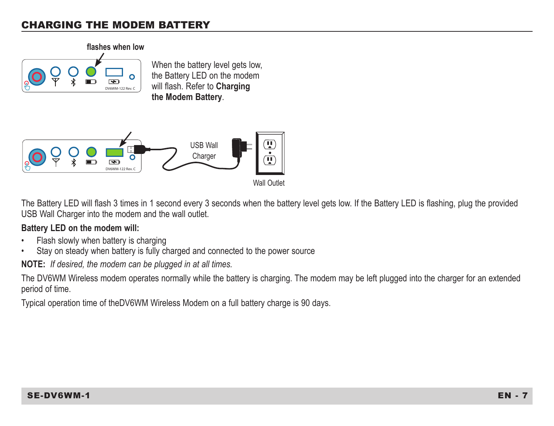#### CHARGING THE MODEM BATTERY



When the battery level gets low, the Battery LED on the modem will flash. Refer to **Charging the Modem Battery**.



The Battery LED will flash 3 times in 1 second every 3 seconds when the battery level gets low. If the Battery LED is flashing, plug the provided USB Wall Charger into the modem and the wall outlet.

#### **Battery LED on the modem will:**

- Flash slowly when battery is charging
- Stay on steady when battery is fully charged and connected to the power source

**NOTE:** *If desired, the modem can be plugged in at all times.*

The DV6WM Wireless modem operates normally while the battery is charging. The modem may be left plugged into the charger for an extended period of time.

Typical operation time of theDV6WM Wireless Modem on a full battery charge is 90 days.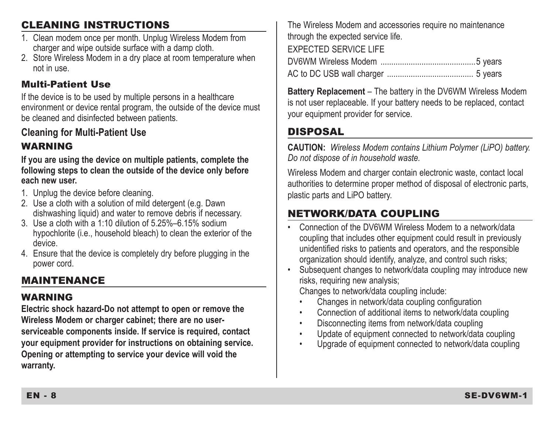## CLEANING INSTRUCTIONS

- 1. Clean modem once per month. Unplug Wireless Modem from charger and wipe outside surface with a damp cloth.
- 2. Store Wireless Modem in a dry place at room temperature when not in use.

#### Multi-Patient Use

If the device is to be used by multiple persons in a healthcare environment or device rental program, the outside of the device must be cleaned and disinfected between patients.

## **Cleaning for Multi-Patient Use**

## WARNING

**If you are using the device on multiple patients, complete the following steps to clean the outside of the device only before each new user.**

- 1. Unplug the device before cleaning.
- 2. Use a cloth with a solution of mild detergent (e.g. Dawn dishwashing liquid) and water to remove debris if necessary.
- 3. Use a cloth with a  $1:10$  dilution of  $5.25\%$  -6.15% sodium hypochlorite (i.e., household bleach) to clean the exterior of the device.
- 4. Ensure that the device is completely dry before plugging in the power cord.

## MAINTENANCE

### WARNING

**Electric shock hazard-Do not attempt to open or remove the Wireless Modem or charger cabinet; there are no userserviceable components inside. If service is required, contact your equipment provider for instructions on obtaining service. Opening or attempting to service your device will void the warranty.**

The Wireless Modem and accessories require no maintenance through the expected service life. EXPECTED SERVICE LIFE DV6WM Wireless Modem ............................................5 years AC to DC USB wall charger ........................................ 5 years

**Battery Replacement** – The battery in the DV6WM Wireless Modem is not user replaceable. If your battery needs to be replaced, contact your equipment provider for service.

## **DISPOSAL**

**CAUTION:** *Wireless Modem contains Lithium Polymer (LiPO) battery. Do not dispose of in household waste.*

Wireless Modem and charger contain electronic waste, contact local authorities to determine proper method of disposal of electronic parts, plastic parts and LiPO battery.

## NETWORK/DATA COUPLING

- Connection of the DV6WM Wireless Modem to a network/data coupling that includes other equipment could result in previously unidentified risks to patients and operators, and the responsible organization should identify, analyze, and control such risks;
- Subsequent changes to network/data coupling may introduce new risks, requiring new analysis;

Changes to network/data coupling include:

- Changes in network/data coupling configuration
- Connection of additional items to network/data coupling
- Disconnecting items from network/data coupling
- Update of equipment connected to network/data coupling
- Upgrade of equipment connected to network/data coupling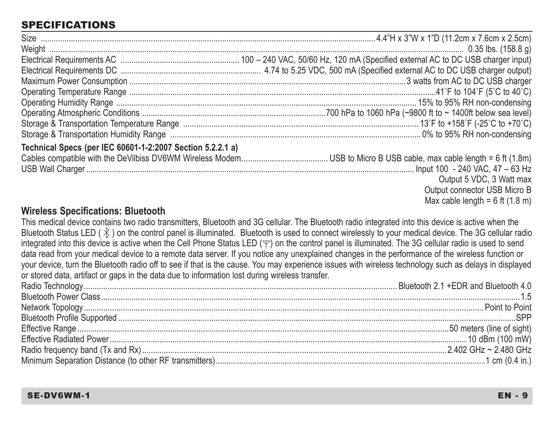## SPECIFICATIONS

| Technical Specs (per IEC 60601-1-2:2007 Section 5.2.2.1 a) |                              |
|------------------------------------------------------------|------------------------------|
|                                                            |                              |
|                                                            |                              |
|                                                            | Output 5 VDC, 3 Watt max     |
|                                                            | Output connector USB Micro B |

Max cable length =  $6$  ft  $(1.8 \text{ m})$ 

#### **Wireless Specifications: Bluetooth**

This medical device contains two radio transmitters, Bluetooth and 3G cellular. The Bluetooth radio integrated into this device is active when the Bluetooth Status LED ( $\hat{\mathcal{X}}$ ) on the control panel is illuminated. Bluetooth is used to connect wirelessly to your medical device. The 3G cellular radio integrated into this device is active when the Cell Phone Status LED  $(\forall)$  on the control panel is illuminated. The 3G cellular radio is used to send data read from your medical device to a remote data server. If you notice any unexplained changes in the performance of the wireless function or your device, turn the Bluetooth radio off to see if that is the cause. You may experience issues with wireless technology such as delays in displayed or stored data, artifact or gaps in the data due to information lost during wireless transfer.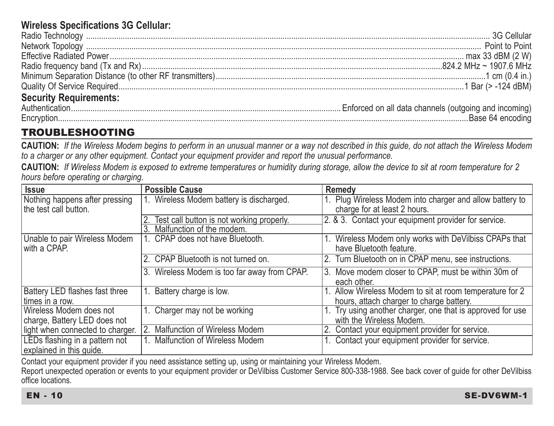### **Wireless Specifications 3G Cellular:**

## TROUBLESHOOTING

**CAUTION:** *If the Wireless Modem begins to perform in an unusual manner or a way not described in this guide, do not attach the Wireless Modem to a charger or any other equipment. Contact your equipment provider and report the unusual performance.*

**CAUTION:** *If Wireless Modem is exposed to extreme temperatures or humidity during storage, allow the device to sit at room temperature for 2 hours before operating or charging.*

| Issue                                         | <b>Possible Cause</b>                        | Remedy                                                                            |
|-----------------------------------------------|----------------------------------------------|-----------------------------------------------------------------------------------|
| Nothing happens after pressing                | 1. Wireless Modem battery is discharged.     | 1. Plug Wireless Modem into charger and allow battery to                          |
| the test call button.                         |                                              | charge for at least 2 hours.                                                      |
|                                               | Test call button is not working properly.    | 2. & 3. Contact your equipment provider for service.                              |
|                                               | Malfunction of the modem.                    |                                                                                   |
| Unable to pair Wireless Modem<br>with a CPAP. | 1. CPAP does not have Bluetooth.             | 1. Wireless Modem only works with DeVilbiss CPAPs that<br>have Bluetooth feature. |
|                                               | 2. CPAP Bluetooth is not turned on.          | 2. Turn Bluetooth on in CPAP menu, see instructions.                              |
|                                               | 3. Wireless Modem is too far away from CPAP. | Move modem closer to CPAP, must be within 30m of<br>each other.                   |
| Battery LED flashes fast three                | Battery charge is low.                       | 1. Allow Wireless Modem to sit at room temperature for 2                          |
| times in a row.                               |                                              | hours, attach charger to charge battery.                                          |
| Wireless Modem does not                       | 1. Charger may not be working                | 1. Try using another charger, one that is approved for use                        |
| charge, Battery LED does not                  |                                              | with the Wireless Modem.                                                          |
| light when connected to charger.              | 2. Malfunction of Wireless Modem             | 2. Contact your equipment provider for service.                                   |
| LEDs flashing in a pattern not                | Malfunction of Wireless Modem                | 1. Contact your equipment provider for service.                                   |
| explained in this quide.                      |                                              |                                                                                   |

Contact your equipment provider if you need assistance setting up, using or maintaining your Wireless Modem.

Report unexpected operation or events to your equipment provider or DeVilbiss Customer Service 800-338-1988. See back cover of guide for other DeVilbiss office locations.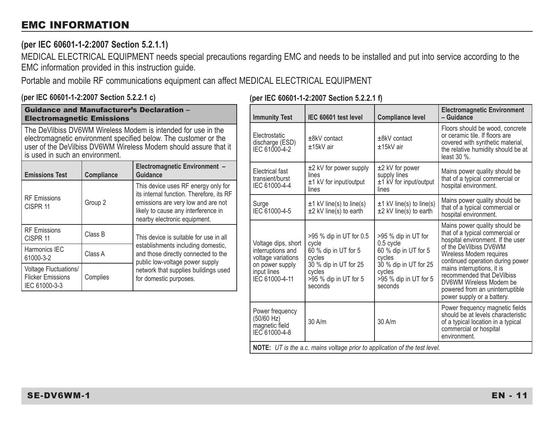#### EMC INFORMATION

#### **(per IEC 60601-1-2:2007 Section 5.2.1.1)**

MEDICAL ELECTRICAL EQUIPMENT needs special precautions regarding EMC and needs to be installed and put into service according to the EMC information provided in this instruction guide.

Portable and mobile RF communications equipment can affect MEDICAL ELECTRICAL EQUIPMENT

#### **(per IEC 60601-1-2:2007 Section 5.2.2.1 c)**

#### **(per IEC 60601-1-2:2007 Section 5.2.2.1 f)**

| <b>Guidance and Manufacturer's Declaration -</b><br><b>Electromagnetic Emissions</b>                                                                                                                                                     |            | <b>Immunity Test</b>                                                                                                | IEC 60601 test level                              | <b>Compliance level</b>                                          | <b>Electromagnetic Environment</b><br>- Guidance                 |                                                                                                                                                               |                                                                                                                                                       |
|------------------------------------------------------------------------------------------------------------------------------------------------------------------------------------------------------------------------------------------|------------|---------------------------------------------------------------------------------------------------------------------|---------------------------------------------------|------------------------------------------------------------------|------------------------------------------------------------------|---------------------------------------------------------------------------------------------------------------------------------------------------------------|-------------------------------------------------------------------------------------------------------------------------------------------------------|
| The DeVilbiss DV6WM Wireless Modem is intended for use in the<br>electromagnetic environment specified below. The customer or the<br>user of the DeVilbiss DV6WM Wireless Modem should assure that it<br>is used in such an environment. |            |                                                                                                                     | Electrostatic<br>discharge (ESD)<br>IEC 61000-4-2 | ±8kV contact<br>±15kV air                                        | $±8kV$ contact<br>±15kV air                                      | Floors should be wood, concrete<br>or ceramic tile. If floors are<br>covered with synthetic material,<br>the relative humidity should be at<br>least $30\%$ . |                                                                                                                                                       |
| <b>Emissions Test</b>                                                                                                                                                                                                                    | Compliance | Electromagnetic Environment -<br>Guidance                                                                           |                                                   | Electrical fast<br>transient/burst                               | $\pm 2$ kV for power supply<br>lines<br>$±1$ kV for input/output | $±2$ kV for power<br>supply lines<br>±1 kV for input/output                                                                                                   | Mains power quality should be<br>that of a typical commercial or                                                                                      |
|                                                                                                                                                                                                                                          |            | This device uses RF energy only for<br>its internal function. Therefore, its RF                                     |                                                   | IEC 61000-4-4                                                    | lines                                                            | lines                                                                                                                                                         | hospital environment.                                                                                                                                 |
| <b>RF Emissions</b><br>CISPR 11                                                                                                                                                                                                          | Group 2    | emissions are very low and are not<br>likely to cause any interference in<br>nearby electronic equipment.           |                                                   | Surge<br>IEC 61000-4-5                                           | $±1$ kV line(s) to line(s)<br>$±2$ kV line(s) to earth           | $±1$ kV line(s) to line(s)<br>$±2$ kV line(s) to earth                                                                                                        | Mains power quality should be<br>that of a typical commercial or<br>hospital environment.                                                             |
| <b>RF Emissions</b><br>CISPR 11                                                                                                                                                                                                          | Class B    | This device is suitable for use in all<br>establishments including domestic,<br>and those directly connected to the | Voltage dips, short                               | >95 % dip in UT for 0.5<br>cvcle                                 | >95 % dip in UT for<br>$0.5$ cycle                               | Mains power quality should be<br>that of a typical commercial or<br>hospital environment. If the user                                                         |                                                                                                                                                       |
| Harmonics IEC<br>61000-3-2                                                                                                                                                                                                               | Class A    |                                                                                                                     | public low-voltage power supply                   |                                                                  |                                                                  | 60 % dip in UT for 5<br>interruptions and<br>voltage variations<br>cycles                                                                                     | 60 % dip in UT for 5<br>cycles                                                                                                                        |
| Voltage Fluctuations/<br><b>Flicker Emissions</b><br>IEC 61000-3-3                                                                                                                                                                       | Complies   | network that supplies buildings used<br>for domestic purposes.                                                      |                                                   |                                                                  | on power supply<br>input lines<br>IEC 61000-4-11                 | 30 % dip in UT for 25<br>cycles<br>>95 % dip in UT for 5<br>seconds                                                                                           | 30 % dip in UT for 25<br>cycles<br>>95 % dip in UT for 5<br>seconds                                                                                   |
|                                                                                                                                                                                                                                          |            |                                                                                                                     |                                                   | Power frequency<br>(50/60 Hz)<br>magnetic field<br>IEC 61000-4-8 | 30 A/m                                                           | $30$ A/m                                                                                                                                                      | Power frequency magnetic fields<br>should be at levels characteristic<br>of a typical location in a typical<br>commercial or hospital<br>environment. |

**NOTE:** *UT is the a.c. mains voltage prior to application of the test level.*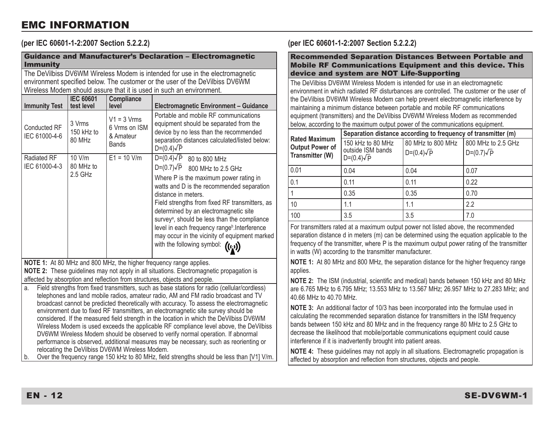#### EMC INFORMATION

**(per IEC 60601-1-2:2007 Section 5.2.2.2)**

| <b>Guidance and Manufacturer's Declaration - Electromagnetic</b><br><b>Immunity</b>                                                                                                                                                                                                                                                                                                                                                                                                                                                                                                                                                                                                                                                                                                          |                                            |                                                             |                                                                                                                                                                                                                                                                                                                                                                                                                                                                                                 |  |
|----------------------------------------------------------------------------------------------------------------------------------------------------------------------------------------------------------------------------------------------------------------------------------------------------------------------------------------------------------------------------------------------------------------------------------------------------------------------------------------------------------------------------------------------------------------------------------------------------------------------------------------------------------------------------------------------------------------------------------------------------------------------------------------------|--------------------------------------------|-------------------------------------------------------------|-------------------------------------------------------------------------------------------------------------------------------------------------------------------------------------------------------------------------------------------------------------------------------------------------------------------------------------------------------------------------------------------------------------------------------------------------------------------------------------------------|--|
| The DeVilbiss DV6WM Wireless Modem is intended for use in the electromagnetic<br>environment specified below. The customer or the user of the DeVilbiss DV6WM<br>Wireless Modem should assure that it is used in such an environment.                                                                                                                                                                                                                                                                                                                                                                                                                                                                                                                                                        |                                            |                                                             |                                                                                                                                                                                                                                                                                                                                                                                                                                                                                                 |  |
| <b>Immunity Test</b>                                                                                                                                                                                                                                                                                                                                                                                                                                                                                                                                                                                                                                                                                                                                                                         | <b>IEC 60601</b><br>test level             | Compliance<br>level                                         | Electromagnetic Environment - Guidance                                                                                                                                                                                                                                                                                                                                                                                                                                                          |  |
| Conducted RF<br>IEC 61000-4-6                                                                                                                                                                                                                                                                                                                                                                                                                                                                                                                                                                                                                                                                                                                                                                | 3 Vrms<br>150 kHz to<br>80 MH <sub>7</sub> | $V1 = 3 Vrms$<br>6 Vrms on ISM<br>& Amateur<br><b>Bands</b> | Portable and mobile RF communications<br>equipment should be separated from the<br>device by no less than the recommended<br>separation distances calculated/listed below:<br>$D=(0.4)\sqrt{P}$                                                                                                                                                                                                                                                                                                 |  |
| Radiated RF<br>IEC 61000-4-3                                                                                                                                                                                                                                                                                                                                                                                                                                                                                                                                                                                                                                                                                                                                                                 | 10 V/m<br>80 MHz to<br>$2.5$ GHz           | $E1 = 10$ V/m                                               | $D=(0.4)\sqrt{P}$ 80 to 800 MHz<br>D=(0.7) $\sqrt{P}$ 800 MHz to 2.5 GHz<br>Where P is the maximum power rating in<br>watts and D is the recommended separation<br>distance in meters.<br>Field strengths from fixed RF transmitters, as<br>determined by an electromagnetic site<br>survey <sup>a</sup> , should be less than the compliance<br>level in each frequency range <sup>b</sup> .Interference<br>may occur in the vicinity of equipment marked<br>with the following symbol: ((t;)) |  |
| NOTE 1: At 80 MHz and 800 MHz, the higher frequency range applies.<br>NOTE 2: These quidelines may not apply in all situations. Electromagnetic propagation is<br>affected by absorption and reflection from structures, objects and people.                                                                                                                                                                                                                                                                                                                                                                                                                                                                                                                                                 |                                            |                                                             |                                                                                                                                                                                                                                                                                                                                                                                                                                                                                                 |  |
| Field strengths from fixed transmitters, such as base stations for radio (cellular/cordless)<br>a.<br>telephones and land mobile radios, amateur radio, AM and FM radio broadcast and TV<br>broadcast cannot be predicted theoretically with accuracy. To assess the electromagnetic<br>environment due to fixed RF transmitters, an electromagnetic site survey should be<br>considered. If the measured field strength in the location in which the DeVilbiss DV6WM<br>Wireless Modem is used exceeds the applicable RF compliance level above, the DeVilbiss<br>DV6WM Wireless Modem should be observed to verify normal operation. If abnormal<br>performance is observed, additional measures may be necessary, such as reorienting or<br>releasting the DeVilhies DVGWM Wireless Medem |                                            |                                                             |                                                                                                                                                                                                                                                                                                                                                                                                                                                                                                 |  |

relocating the DeVilbiss DV6WM Wireless Modem. b. Over the frequency range 150 kHz to 80 MHz, field strengths should be less than [V1] V/m.

#### **(per IEC 60601-1-2:2007 Section 5.2.2.2)**

Recommended Separation Distances Between Portable and Mobile RF Communications Equipment and this device. This device and system are NOT Life-Supporting

The DeVilbiss DV6WM Wireless Modem is intended for use in an electromagnetic environment in which radiated RF disturbances are controlled. The customer or the user of the DeVilbiss DV6WM Wireless Modem can help prevent electromagnetic interference by maintaining a minimum distance between portable and mobile RF communications equipment (transmitters) and the DeVilbiss DV6WM Wireless Modem as recommended below, according to the maximum output power of the communications equipment.

|                                                            | Separation distance according to frequency of transmitter (m) |                                                           |                   |  |  |  |
|------------------------------------------------------------|---------------------------------------------------------------|-----------------------------------------------------------|-------------------|--|--|--|
| <b>Rated Maximum</b><br>Output Power of<br>Transmitter (W) | 150 kHz to 80 MHz<br>outside ISM bands<br>$D=(0.4)\sqrt{P}$   | 80 MHz to 800 MHz 800 MHz to 2.5 GHz<br>$D=(0.4)\sqrt{P}$ | $D=(0.7)\sqrt{P}$ |  |  |  |
| 0.01                                                       | 0.04                                                          | 0.04                                                      | 0.07              |  |  |  |
| 0.1                                                        | 0.11                                                          | 0.11                                                      | 0.22              |  |  |  |
|                                                            | 0.35                                                          | 0.35                                                      | 0.70              |  |  |  |
| 10                                                         | 1.1                                                           | 1.1                                                       | 2.2               |  |  |  |
| 100                                                        | 3.5                                                           | 3.5                                                       | 7.0               |  |  |  |

For transmitters rated at a maximum output power not listed above, the recommended separation distance d in meters (m) can be determined using the equation applicable to the frequency of the transmitter, where P is the maximum output power rating of the transmitter in watts (W) according to the transmitter manufacturer.

**NOTE 1:** At 80 MHz and 800 MHz, the separation distance for the higher frequency range applies.

**NOTE 2:** The ISM (industrial, scientific and medical) bands between 150 kHz and 80 MHz are 6.765 MHz to 6.795 MHz; 13.553 MHz to 13.567 MHz; 26.957 MHz to 27.283 MHz; and 40.66 MHz to 40.70 MHz.

**NOTE 3:** An additional factor of 10/3 has been incorporated into the formulae used in calculating the recommended separation distance for transmitters in the ISM frequency bands between 150 kHz and 80 MHz and in the frequency range 80 MHz to 2.5 GHz to decrease the likelihood that mobile/portable communications equipment could cause interference if it is inadvertently brought into patient areas.

**NOTE 4:** These guidelines may not apply in all situations. Electromagnetic propagation is affected by absorption and reflection from structures, objects and people.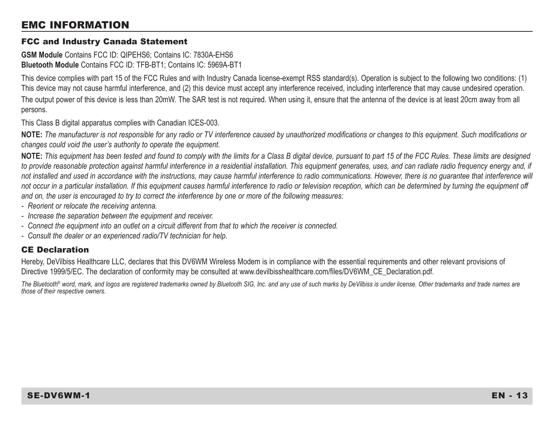#### EMC INFORMATION

#### FCC and Industry Canada Statement

**GSM Module** Contains FCC ID: QIPEHS6; Contains IC: 7830A-EHS6 **Bluetooth Module** Contains FCC ID: TFB-BT1; Contains IC: 5969A-BT1

This device complies with part 15 of the FCC Rules and with Industry Canada license-exempt RSS standard(s). Operation is subject to the following two conditions: (1) This device may not cause harmful interference, and (2) this device must accept any interference received, including interference that may cause undesired operation.

The output power of this device is less than 20mW. The SAR test is not required. When using it, ensure that the antenna of the device is at least 20cm away from all persons.

This Class B digital apparatus complies with Canadian ICES-003.

**NOTE:** *The manufacturer is not responsible for any radio or TV interference caused by unauthorized modifications or changes to this equipment. Such modifications or changes could void the user's authority to operate the equipment.*

**NOTE:** *This equipment has been tested and found to comply with the limits for a Class B digital device, pursuant to part 15 of the FCC Rules. These limits are designed*  to provide reasonable protection against harmful interference in a residential installation. This equipment generates, uses, and can radiate radio frequency energy and, if not installed and used in accordance with the instructions, may cause harmful interference to radio communications. However, there is no quarantee that interference will not occur in a particular installation. If this equipment causes harmful interference to radio or television reception, which can be determined by turning the equipment off *and on, the user is encouraged to try to correct the interference by one or more of the following measures:*

- *Reorient or relocate the receiving antenna.*
- *Increase the separation between the equipment and receiver.*
- *Connect the equipment into an outlet on a circuit different from that to which the receiver is connected.*
- *Consult the dealer or an experienced radio/TV technician for help.*

#### CE Declaration

Hereby, DeVilbiss Healthcare LLC, declares that this DV6WM Wireless Modem is in compliance with the essential requirements and other relevant provisions of Directive 1999/5/EC. The declaration of conformity may be consulted at www.devilbisshealthcare.com/files/DV6WM\_CE\_Declaration.pdf.

The Bluetooth<sup>®</sup> word, mark, and logos are registered trademarks owned by Bluetooth SIG, Inc. and any use of such marks by DeVilbiss is under license. Other trademarks and trade names are *those of their respective owners.*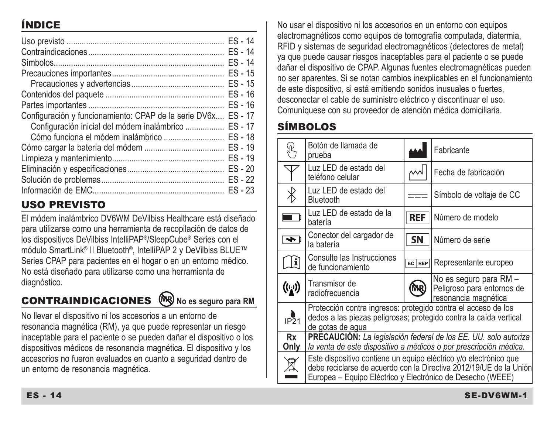## ÍNDICE

|                                                       | $ES - 14$ |
|-------------------------------------------------------|-----------|
|                                                       | $ES - 14$ |
|                                                       | $FS - 14$ |
|                                                       | $ES - 15$ |
|                                                       | $ES - 15$ |
|                                                       | $ES - 16$ |
|                                                       | $ES - 16$ |
| Configuración y funcionamiento: CPAP de la serie DV6x | $FS - 17$ |
| Configuración inicial del módem inalámbrico           | $ES - 17$ |
|                                                       | $ES - 18$ |
|                                                       | $FS - 19$ |
|                                                       | $ES - 19$ |
|                                                       | $FS - 20$ |
|                                                       | $FS - 22$ |
|                                                       | $ES - 23$ |

## USO PREVISTO

El módem inalámbrico DV6WM DeVilbiss Healthcare está diseñado para utilizarse como una herramienta de recopilación de datos de los dispositivos DeVilbiss IntelliPAP®/SleepCube® Series con el módulo SmartLink® II Bluetooth®, IntelliPAP 2 y DeVilbiss BLUE™ Series CPAP para pacientes en el hogar o en un entorno médico. No está diseñado para utilizarse como una herramienta de diagnóstico.

# **CONTRAINDICACIONES**  $(\aleph \aleph)$  No es seguro para RM

No llevar el dispositivo ni los accesorios a un entorno de resonancia magnética (RM), ya que puede representar un riesgo inaceptable para el paciente o se pueden dañar el dispositivo o los dispositivos médicos de resonancia magnética. El dispositivo y los accesorios no fueron evaluados en cuanto a seguridad dentro de un entorno de resonancia magnética.

No usar el dispositivo ni los accesorios en un entorno con equipos electromagnéticos como equipos de tomografía computada, diatermia, RFID y sistemas de seguridad electromagnéticos (detectores de metal) ya que puede causar riesgos inaceptables para el paciente o se puede dañar el dispositivo de CPAP. Algunas fuentes electromagnéticas pueden no ser aparentes. Si se notan cambios inexplicables en el funcionamiento de este dispositivo, si está emitiendo sonidos inusuales o fuertes, desconectar el cable de suministro eléctrico y discontinuar el uso. Comuníquese con su proveedor de atención médica domiciliaria.

## SÍMBOLOS

|                    | Botón de llamada de<br>prueba                                                                                                                                                                         |                                 | Fabricante               |  |
|--------------------|-------------------------------------------------------------------------------------------------------------------------------------------------------------------------------------------------------|---------------------------------|--------------------------|--|
|                    | Luz LED de estado del<br>teléfono celular                                                                                                                                                             |                                 | Fecha de fabricación     |  |
|                    | Luz LED de estado del<br>Bluetooth                                                                                                                                                                    |                                 | Símbolo de voltaje de CC |  |
|                    | Luz LED de estado de la<br>batería                                                                                                                                                                    | <b>REF</b><br>Número de modelo  |                          |  |
| ৰু                 | Conector del cargador de<br>la batería                                                                                                                                                                | <b>SN</b>                       | Número de serie          |  |
| Ŀ                  | Consulte las Instrucciones<br>de funcionamiento                                                                                                                                                       | Representante europeo<br>EC REP |                          |  |
| $(\mathfrak{l}_1)$ | No es seguro para RM -<br>Transmisor de<br>Peligroso para entornos de<br>radiofrecuencia<br>resonancia magnética                                                                                      |                                 |                          |  |
| IP21               | Protección contra ingresos: protegido contra el acceso de los<br>dedos a las piezas peligrosas; protegido contra la caída vertical<br>de gotas de agua                                                |                                 |                          |  |
| <b>Rx</b><br>Only  | <b>PRECAUCIÓN:</b> La legislación federal de los EE. UU. solo autoriza<br>la venta de este dispositivo a médicos o por prescripción médica.                                                           |                                 |                          |  |
| 8                  | Este dispositivo contiene un equipo eléctrico y/o electrónico que<br>debe reciclarse de acuerdo con la Directiva 2012/19/UE de la Unión<br>Europea – Equipo Eléctrico y Electrónico de Desecho (WEEE) |                                 |                          |  |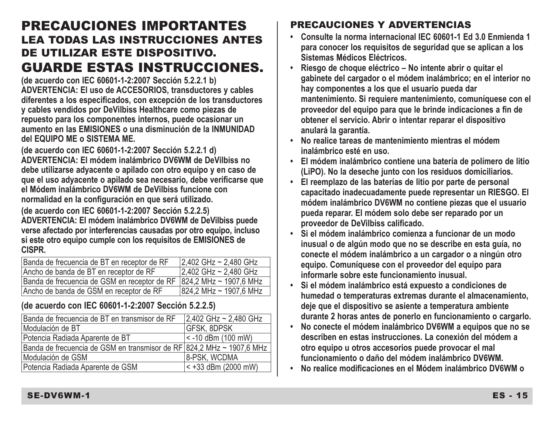## PRECAUCIONES IMPORTANTES LEA TODAS LAS INSTRUCCIONES ANTES DE UTILIZAR ESTE DISPOSITIVO. GUARDE ESTAS INSTRUCCIONES.

**(de acuerdo con IEC 60601-1-2:2007 Sección 5.2.2.1 b) ADVERTENCIA: El uso de ACCESORIOS, transductores y cables diferentes a los especificados, con excepción de los transductores y cables vendidos por DeVilbiss Healthcare como piezas de repuesto para los componentes internos, puede ocasionar un aumento en las EMISIONES o una disminución de la INMUNIDAD del EQUIPO ME o SISTEMA ME.**

**(de acuerdo con IEC 60601-1-2:2007 Sección 5.2.2.1 d) ADVERTENCIA: El módem inalámbrico DV6WM de DeVilbiss no debe utilizarse adyacente o apilado con otro equipo y en caso de que el uso adyacente o apilado sea necesario, debe verificarse que el Módem inalámbrico DV6WM de DeVilbiss funcione con normalidad en la configuración en que será utilizado.**

**(de acuerdo con IEC 60601-1-2:2007 Sección 5.2.2.5) ADVERTENCIA: El módem inalámbrico DV6WM de DeVilbiss puede verse afectado por interferencias causadas por otro equipo, incluso si este otro equipo cumple con los requisitos de EMISIONES de CISPR.**

| Banda de frecuencia de BT en receptor de RF                           | 2.402 GHz ~ 2,480 GHz  |
|-----------------------------------------------------------------------|------------------------|
| Ancho de banda de BT en receptor de RF                                | 2.402 GHz ~ 2.480 GHz  |
| Banda de frecuencia de GSM en receptor de RF   824,2 MHz ~ 1907,6 MHz |                        |
| Ancho de banda de GSM en receptor de RF                               | 824.2 MHz ~ 1907.6 MHz |

#### **(de acuerdo con IEC 60601-1-2:2007 Sección 5.2.2.5)**

| Banda de frecuencia de BT en transmisor de RF                         | 2.402 GHz ~ 2.480 GHz |
|-----------------------------------------------------------------------|-----------------------|
| Modulación de BT                                                      | <b>GFSK, 8DPSK</b>    |
| Potencia Radiada Aparente de BT                                       | <- 10 dBm (100 mW)    |
| Banda de frecuencia de GSM en transmisor de RF 824,2 MHz ~ 1907,6 MHz |                       |
| Modulación de GSM                                                     | 8-PSK. WCDMA          |
| Potencia Radiada Aparente de GSM                                      | $< +33$ dBm (2000 mW) |

## PRECAUCIONES Y ADVERTENCIAS

- **• Consulte la norma internacional IEC 60601-1 Ed 3.0 Enmienda 1 para conocer los requisitos de seguridad que se aplican a los Sistemas Médicos Eléctricos.**
- **Riesgo de choque eléctrico No intente abrir o quitar el gabinete del cargador o el módem inalámbrico; en el interior no hay componentes a los que el usuario pueda dar mantenimiento. Si requiere mantenimiento, comuníquese con el proveedor del equipo para que le brinde indicaciones a fin de obtener el servicio. Abrir o intentar reparar el dispositivo anulará la garantía.**
- **• No realice tareas de mantenimiento mientras el módem inalámbrico esté en uso.**
- **El módem inalámbrico contiene una batería de polímero de litio (LiPO). No la deseche junto con los residuos domiciliarios.**
- **El reemplazo de las baterías de litio por parte de personal capacitado inadecuadamente puede representar un RIESGO. El módem inalámbrico DV6WM no contiene piezas que el usuario pueda reparar. El módem solo debe ser reparado por un proveedor de DeVilbiss calificado.**
- **• Si el módem inalámbrico comienza a funcionar de un modo inusual o de algún modo que no se describe en esta guía, no conecte el módem inalámbrico a un cargador o a ningún otro equipo. Comuníquese con el proveedor del equipo para informarle sobre este funcionamiento inusual.**
- **• Si el módem inalámbrico está expuesto a condiciones de humedad o temperaturas extremas durante el almacenamiento, deje que el dispositivo se asiente a temperatura ambiente durante 2 horas antes de ponerlo en funcionamiento o cargarlo.**
- **No conecte el módem inalámbrico DV6WM a equipos que no se describen en estas instrucciones. La conexión del módem a otro equipo u otros accesorios puede provocar el mal funcionamiento o daño del módem inalámbrico DV6WM.**
- **No realice modificaciones en el Módem inalámbrico DV6WM o**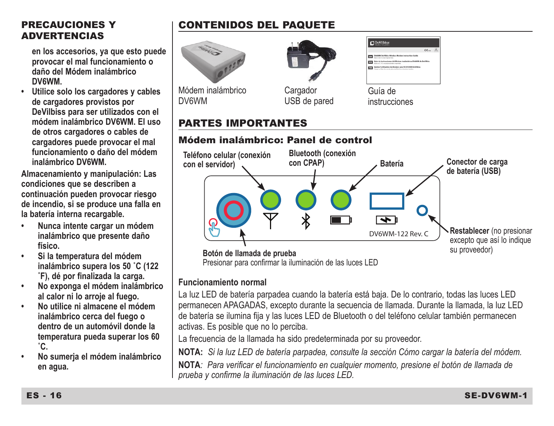#### PRECAUCIONES Y **ADVERTENCIAS**

**en los accesorios, ya que esto puede provocar el mal funcionamiento o daño del Módem inalámbrico DV6WM.**

**• Utilice solo los cargadores y cables de cargadores provistos por DeVilbiss para ser utilizados con el módem inalámbrico DV6WM. El uso de otros cargadores o cables de cargadores puede provocar el mal funcionamiento o daño del módem inalámbrico DV6WM.** 

**Almacenamiento y manipulación: Las condiciones que se describen a continuación pueden provocar riesgo de incendio, si se produce una falla en la batería interna recargable.**

- **Nunca intente cargar un módem inalámbrico que presente daño físico.**
- **• Si la temperatura del módem inalámbrico supera los 50 ˚C (122 ˚F), dé por finalizada la carga.**
- **No exponga el módem inalámbrico al calor ni lo arroje al fuego.**
- **• No utilice ni almacene el módem inalámbrico cerca del fuego o dentro de un automóvil donde la temperatura pueda superar los 60 ˚C.**
- **• No sumerja el módem inalámbrico en agua.**

## CONTENIDOS DEL PAQUETE



Módem inalámbrico DV6WM



USB de pared

| West Detting Wednesday Modern Instruction Guide<br><b>Call State de Instrucciones del Médico Institutorico DVNM de DeVilhias</b> |  |
|----------------------------------------------------------------------------------------------------------------------------------|--|
|                                                                                                                                  |  |
|                                                                                                                                  |  |
| Calde d'utilisation de Rodern sans El OVERTE Detillaire                                                                          |  |

Guía de instrucciones

### PARTES IMPORTANTES

#### Módem inalámbrico: Panel de control



Presionar para confirmar la iluminación de las luces LED

#### **Funcionamiento normal**

La luz LED de batería parpadea cuando la batería está baja. De lo contrario, todas las luces LED permanecen APAGADAS, excepto durante la secuencia de llamada. Durante la llamada, la luz LED de batería se ilumina fija y las luces LED de Bluetooth o del teléfono celular también permanecen activas. Es posible que no lo perciba.

La frecuencia de la llamada ha sido predeterminada por su proveedor.

**NOTA:** *Si la luz LED de batería parpadea, consulte la sección Cómo cargar la batería del módem.*

**NOTA***: Para verificar el funcionamiento en cualquier momento, presione el botón de llamada de prueba y confirme la iluminación de las luces LED.*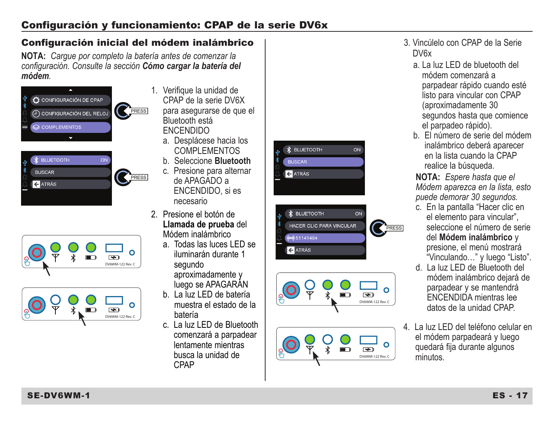#### Configuración inicial del módem inalámbrico

**NOTA:** *Cargue por completo la batería antes de comenzar la configuración. Consulte la sección Cómo cargar la batería del módem.*









- 1. Verifique la unidad de CPAP de la serie DV6X para asegurarse de que el Bluetooth está ENCENDIDO
	- a. Desplácese hacia los COMPLEMENTOS
	- b. Seleccione **Bluetooth**
	- c. Presione para alternar de APAGADO a ENCENDIDO, si es necesario
- 2. Presione el botón de **Llamada de prueba** del Módem inalámbrico
	- a. Todas las luces LED se iluminarán durante 1 segundo aproximadamente y luego se APAGARÁN
	- b. La luz LED de batería muestra el estado de la batería
	- c. La luz LED de Bluetooth comenzará a parpadear lentamente mientras busca la unidad de CPAP







- 3. Vincúlelo con CPAP de la Serie DV6x
	- a. La luz LED de bluetooth del módem comenzará a parpadear rápido cuando esté listo para vincular con CPAP (aproximadamente 30 segundos hasta que comience el parpadeo rápido).
	- b. El número de serie del módem inalámbrico deberá aparecer en la lista cuando la CPAP realice la búsqueda.

**NOTA:** *Espere hasta que el Módem aparezca en la lista, esto puede demorar 30 segundos.*

- c. En la pantalla "Hacer clic en el elemento para vincular", seleccione el número de serie del **Módem inalámbrico** y presione, el menú mostrará "Vinculando…" y luego "Listo".
- d. La luz LED de Bluetooth del módem inalámbrico dejará de parpadear y se mantendrá ENCENDIDA mientras lee datos de la unidad CPAP.
- 4. La luz LED del teléfono celular en el módem parpadeará y luego quedará fija durante algunos minutos.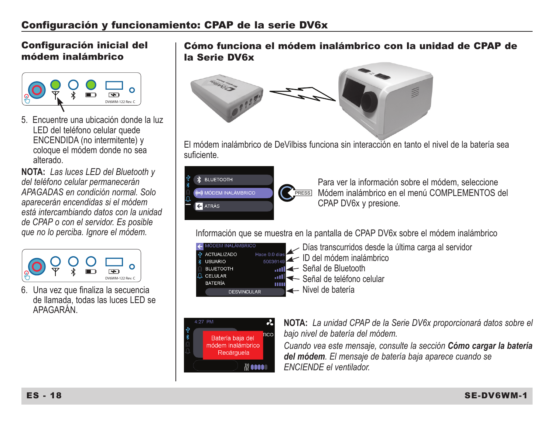#### Configuración inicial del módem inalámbrico



5. Encuentre una ubicación donde la luz LED del teléfono celular quede ENCENDIDA (no intermitente) y coloque el módem donde no sea alterado.

**NOTA:** *Las luces LED del Bluetooth y del teléfono celular permanecerán APAGADAS en condición normal. Solo aparecerán encendidas si el módem está intercambiando datos con la unidad de CPAP o con el servidor. Es posible que no lo perciba. Ignore el módem.*



6. Una vez que finaliza la secuencia de llamada, todas las luces LED se APAGARÁN.

Cómo funciona el módem inalámbrico con la unidad de CPAP de la Serie DV6x



El módem inalámbrico de DeVilbiss funciona sin interacción en tanto el nivel de la batería sea sufi ciente.



Para ver la información sobre el módem, seleccione PRESSI Módem inalámbrico en el menú COMPLEMENTOS del CPAP DV6x y presione.

Información que se muestra en la pantalla de CPAP DV6x sobre el módem inalámbrico

| A MODEM INALAMBRICO<br><b><i>Q</i></b> ACTUALIZADO<br>* USUARIO<br><b>BLUETOOTH</b><br>A CELULAR<br><b>BATERÍA</b> | Ш | Días transcurridos desde la última carga al servidor<br>Hace 0.0 dias Contract Died uniform in alámbrico<br><b>nni ←</b> Señal de Bluetooth<br>Señal de teléfono celular |
|--------------------------------------------------------------------------------------------------------------------|---|--------------------------------------------------------------------------------------------------------------------------------------------------------------------------|
| <b>DESVINCULAR</b>                                                                                                 |   | 1← Nivel de batería                                                                                                                                                      |



**NOTA:** *La unidad CPAP de la Serie DV6x proporcionará datos sobre el bajo nivel de batería del módem.*

*Cuando vea este mensaje, consulte la sección Cómo cargar la batería del módem. El mensaje de batería baja aparece cuando se ENCIENDE el ventilador.*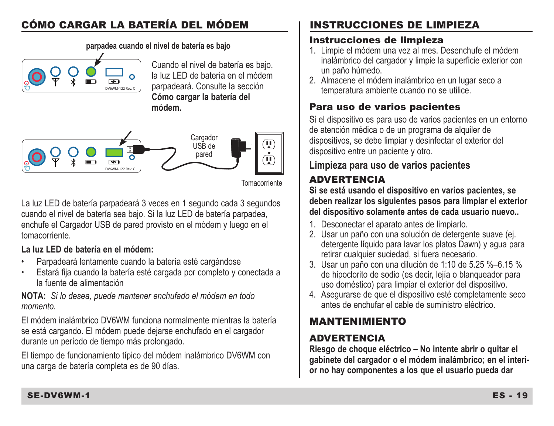## CÓMO CARGAR LA BATERÍA DEL MÓDEM

DV6WM-122 Rev. C

**parpadea cuando el nivel de batería es bajo**

Cuando el nivel de batería es bajo, la luz LED de batería en el módem parpadeará. Consulte la sección **Cómo cargar la batería del módem.**



Tomacorriente

La luz LED de batería parpadeará 3 veces en 1 segundo cada 3 segundos cuando el nivel de batería sea bajo. Si la luz LED de batería parpadea, enchufe el Cargador USB de pared provisto en el módem y luego en el tomacorriente.

#### **La luz LED de batería en el módem:**

- Parpadeará lentamente cuando la batería esté cargándose
- Estará fija cuando la batería esté cargada por completo y conectada a la fuente de alimentación

**NOTA:** *Si lo desea, puede mantener enchufado el módem en todo momento.*

El módem inalámbrico DV6WM funciona normalmente mientras la batería se está cargando. El módem puede dejarse enchufado en el cargador durante un período de tiempo más prolongado.

El tiempo de funcionamiento típico del módem inalámbrico DV6WM con una carga de batería completa es de 90 días.

## INSTRUCCIONES DE LIMPIEZA

## Instrucciones de limpieza

- 1. Limpie el módem una vez al mes. Desenchufe el módem inalámbrico del cargador y limpie la superficie exterior con un paño húmedo.
- 2. Almacene el módem inalámbrico en un lugar seco a temperatura ambiente cuando no se utilice.

## Para uso de varios pacientes

Si el dispositivo es para uso de varios pacientes en un entorno de atención médica o de un programa de alquiler de dispositivos, se debe limpiar y desinfectar el exterior del dispositivo entre un paciente y otro.

## **Limpieza para uso de varios pacientes**

## **ADVERTENCIA**

**Si se está usando el dispositivo en varios pacientes, se deben realizar los siguientes pasos para limpiar el exterior del dispositivo solamente antes de cada usuario nuevo..**

- 1. Desconectar el aparato antes de limpiarlo.
- 2. Usar un paño con una solución de detergente suave (ej. detergente líquido para lavar los platos Dawn) y agua para retirar cualquier suciedad, si fuera necesario.
- 3. Usar un paño con una dilución de 1:10 de 5.25 %–6.15 % de hipoclorito de sodio (es decir, lejía o blanqueador para uso doméstico) para limpiar el exterior del dispositivo.
- 4. Asegurarse de que el dispositivo esté completamente seco antes de enchufar el cable de suministro eléctrico.

## MANTENIMIENTO

## ADVERTENCIA

**Riesgo de choque eléctrico – No intente abrir o quitar el gabinete del cargador o el módem inalámbrico; en el interior no hay componentes a los que el usuario pueda dar**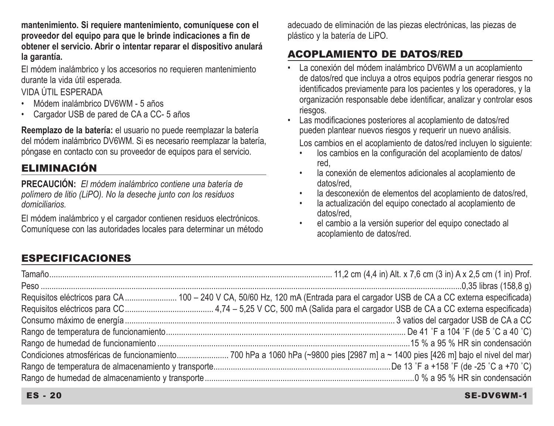**mantenimiento. Si requiere mantenimiento, comuníquese con el proveedor del equipo para que le brinde indicaciones a fin de obtener el servicio. Abrir o intentar reparar el dispositivo anulará la garantía.**

El módem inalámbrico y los accesorios no requieren mantenimiento durante la vida útil esperada.

#### VIDA ÚTIL ESPERADA

- Módem inalámbrico DV6WM 5 años
- Cargador USB de pared de CA a CC- 5 años

**Reemplazo de la batería:** el usuario no puede reemplazar la batería del módem inalámbrico DV6WM. Si es necesario reemplazar la batería, póngase en contacto con su proveedor de equipos para el servicio.

## ELIMINACIÓN

**PRECAUCIÓN:** *El módem inalámbrico contiene una batería de polímero de litio (LiPO). No la deseche junto con los residuos domiciliarios.*

El módem inalámbrico y el cargador contienen residuos electrónicos. Comuníquese con las autoridades locales para determinar un método adecuado de eliminación de las piezas electrónicas, las piezas de plástico y la batería de LiPO.

## ACOPLAMIENTO DE DATOS/RED

- La conexión del módem inalámbrico DV6WM a un acoplamiento de datos/red que incluya a otros equipos podría generar riesgos no identificados previamente para los pacientes y los operadores, y la organización responsable debe identificar, analizar y controlar esos riesgos.
- Las modificaciones posteriores al acoplamiento de datos/red pueden plantear nuevos riesgos y requerir un nuevo análisis.

Los cambios en el acoplamiento de datos/red incluyen lo siguiente:

- los cambios en la configuración del acoplamiento de datos/ red,
- la conexión de elementos adicionales al acoplamiento de datos/red,
- la desconexión de elementos del acoplamiento de datos/red.
- la actualización del equipo conectado al acoplamiento de datos/red,
- el cambio a la versión superior del equipo conectado al acoplamiento de datos/red.

## ESPECIFICACIONES

| Requisitos eléctricos para CA  100 - 240 V CA, 50/60 Hz, 120 mA (Entrada para el cargador USB de CA a CC externa especificada) |
|--------------------------------------------------------------------------------------------------------------------------------|
|                                                                                                                                |
|                                                                                                                                |
|                                                                                                                                |
|                                                                                                                                |
|                                                                                                                                |
|                                                                                                                                |
|                                                                                                                                |

#### ES - 20 SE-DV6WM-1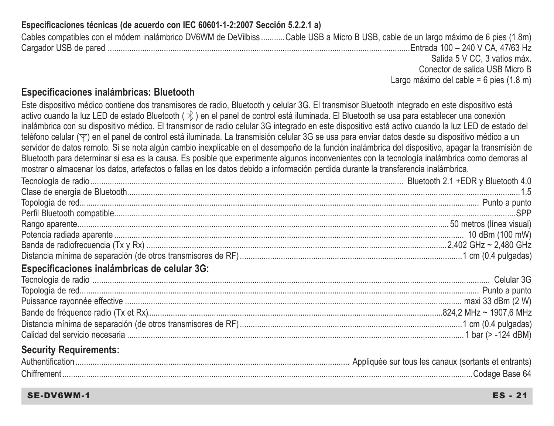#### **Especificaciones técnicas (de acuerdo con IEC 60601-1-2:2007 Sección 5.2.2.1 a)**

Cables compatibles con el módem inalámbrico DV6WM de DeVilbiss ...........Cable USB a Micro B USB, cable de un largo máximo de 6 pies (1.8m) Cargador USB de pared ............................................................................................................................................Entrada 100 – 240 V CA, 47/63 Hz Salida 5 V CC, 3 vatios máx. Conector de salida USB Micro B

Largo máximo del cable = 6 pies (1.8 m)

#### **Especificaciones inalámbricas: Bluetooth**

Este dispositivo médico contiene dos transmisores de radio, Bluetooth y celular 3G. El transmisor Bluetooth integrado en este dispositivo está activo cuando la luz LED de estado Bluetooth ( $\hat{\mathcal{X}}$ ) en el panel de control está iluminada. El Bluetooth se usa para establecer una conexión inalámbrica con su dispositivo médico. El transmisor de radio celular 3G integrado en este dispositivo está activo cuando la luz LED de estado del teléfono celular ( $\forall$ ) en el panel de control está iluminada. La transmisión celular 3G se usa para enviar datos desde su dispositivo médico a un servidor de datos remoto. Si se nota algún cambio inexplicable en el desempeño de la función inalámbrica del dispositivo, apagar la transmisión de Bluetooth para determinar si esa es la causa. Es posible que experimente algunos inconvenientes con la tecnología inalámbrica como demoras al mostrar o almacenar los datos, artefactos o fallas en los datos debido a información perdida durante la transferencia inalámbrica.

| Especificaciones inalámbricas de celular 3G: |  |
|----------------------------------------------|--|
|                                              |  |
|                                              |  |
|                                              |  |
|                                              |  |
|                                              |  |
|                                              |  |
| <b>Security Requirements:</b>                |  |
|                                              |  |
|                                              |  |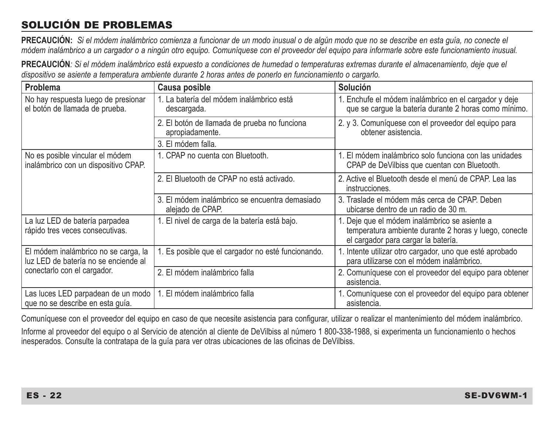## SOLUCIÓN DE PROBLEMAS

**PRECAUCIÓN:** *Si el módem inalámbrico comienza a funcionar de un modo inusual o de algún modo que no se describe en esta guía, no conecte el módem inalámbrico a un cargador o a ningún otro equipo. Comuníquese con el proveedor del equipo para informarle sobre este funcionamiento inusual.*

**PRECAUCIÓN***: Si el módem inalámbrico está expuesto a condiciones de humedad o temperaturas extremas durante el almacenamiento, deje que el dispositivo se asiente a temperatura ambiente durante 2 horas antes de ponerlo en funcionamiento o cargarlo.*

| Problema                                                                     | Causa posible                                                                         | Solución                                                                                                                                      |
|------------------------------------------------------------------------------|---------------------------------------------------------------------------------------|-----------------------------------------------------------------------------------------------------------------------------------------------|
| No hay respuesta luego de presionar<br>el botón de llamada de prueba.        | . La batería del módem inalámbrico está<br>descargada.                                | 1. Enchufe el módem inalámbrico en el cargador y deje<br>que se carque la batería durante 2 horas como mínimo.                                |
|                                                                              | 2. El botón de llamada de prueba no funciona<br>apropiadamente.<br>3. El módem falla. | 2. y 3. Comuníquese con el proveedor del equipo para<br>obtener asistencia.                                                                   |
| No es posible vincular el módem                                              | 1. CPAP no cuenta con Bluetooth.                                                      | 1. El módem inalámbrico solo funciona con las unidades                                                                                        |
| inalámbrico con un dispositivo CPAP.                                         |                                                                                       | CPAP de DeVilbiss que cuentan con Bluetooth.                                                                                                  |
|                                                                              | 2. El Bluetooth de CPAP no está activado.                                             | 2. Active el Bluetooth desde el menú de CPAP. Lea las<br>instrucciones.                                                                       |
|                                                                              | 3. El módem inalámbrico se encuentra demasiado<br>alejado de CPAP.                    | 3. Traslade el módem más cerca de CPAP. Deben<br>ubicarse dentro de un radio de 30 m.                                                         |
| La luz LED de batería parpadea<br>rápido tres veces consecutivas.            | 1. El nivel de carga de la batería está bajo.                                         | 1. Deje que el módem inalámbrico se asiente a<br>temperatura ambiente durante 2 horas y luego, conecte<br>el cargador para cargar la batería. |
| El módem inalámbrico no se carga, la<br>luz LED de batería no se enciende al | 1. Es posible que el cargador no esté funcionando.                                    | 1. Intente utilizar otro cargador, uno que esté aprobado<br>para utilizarse con el módem inalámbrico.                                         |
| conectarlo con el cargador.                                                  | 2. El módem inalámbrico falla                                                         | 2. Comuníquese con el proveedor del equipo para obtener<br>asistencia.                                                                        |
| Las luces LED parpadean de un modo<br>que no se describe en esta quía.       | 1. El módem inalámbrico falla                                                         | 1. Comuníquese con el proveedor del equipo para obtener<br>asistencia.                                                                        |

Comuníquese con el proveedor del equipo en caso de que necesite asistencia para configurar, utilizar o realizar el mantenimiento del módem inalámbrico. Informe al proveedor del equipo o al Servicio de atención al cliente de DeVilbiss al número 1 800-338-1988, si experimenta un funcionamiento o hechos inesperados. Consulte la contratapa de la guía para ver otras ubicaciones de las oficinas de DeVilbiss.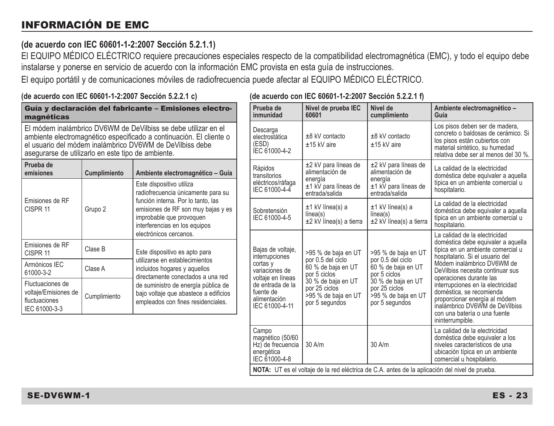## INFORMACIÓN DE EMC

#### **(de acuerdo con IEC 60601-1-2:2007 Sección 5.2.1.1)**

El EQUIPO MÉDICO ELÉCTRICO requiere precauciones especiales respecto de la compatibilidad electromagnética (EMC), y todo el equipo debe instalarse y ponerse en servicio de acuerdo con la información EMC provista en esta guía de instrucciones.

**(de acuerdo con IEC 60601-1-2:2007 Sección 5.2.2.1 f)**

El equipo portátil y de comunicaciones móviles de radiofrecuencia puede afectar al EQUIPO MÉDICO ELÉCTRICO.

| av avaslav voll illv veget i kikevi vedeleli elkiki ej                                                                                                                                                                                                  |              |                                                                                                                                       |                                                                                        | <u>vvvvi i Lilvoi ovodioli vilitti i j</u>                                                     |                                                                                                                                                                                  |                                                                                                                                                                                                                                          |  |
|---------------------------------------------------------------------------------------------------------------------------------------------------------------------------------------------------------------------------------------------------------|--------------|---------------------------------------------------------------------------------------------------------------------------------------|----------------------------------------------------------------------------------------|------------------------------------------------------------------------------------------------|----------------------------------------------------------------------------------------------------------------------------------------------------------------------------------|------------------------------------------------------------------------------------------------------------------------------------------------------------------------------------------------------------------------------------------|--|
| Guía y declaración del fabricante - Emisiones electro-<br>magnéticas                                                                                                                                                                                    |              | Prueba de<br>inmunidad                                                                                                                | Nivel de prueba IEC<br>60601                                                           | Nivel de<br>cumplimiento                                                                       | Ambiente electromagnético -<br>Guía                                                                                                                                              |                                                                                                                                                                                                                                          |  |
| El módem inalámbrico DV6WM de DeVilbiss se debe utilizar en el<br>ambiente electromagnético especificado a continuación. El cliente o<br>el usuario del módem inalámbrico DV6WM de DeVilbiss debe<br>asegurarse de utilizarlo en este tipo de ambiente. |              | Descarga<br>electrostática<br>(ESD)<br>IEC 61000-4-2                                                                                  | $±8$ kV contacto<br>$±15$ kV aire                                                      | $±8$ kV contacto<br>$±15$ kV aire                                                              | Los pisos deben ser de madera,<br>concreto o baldosas de cerámico. Si<br>los pisos están cubiertos con<br>material sintético, su humedad<br>relativa debe ser al menos del 30 %. |                                                                                                                                                                                                                                          |  |
| Prueba de<br>emisiones                                                                                                                                                                                                                                  | Cumplimiento | Ambiente electromagnético - Guía<br>Este dispositivo utiliza                                                                          | Rápidos<br>transitorios<br>eléctricos/ráfaga                                           | ±2 kV para líneas de<br>alimentación de<br>energía<br>$±1$ kV para líneas de                   | ±2 kV para líneas de<br>alimentación de<br>energía<br>$±1$ k $V$ para líneas de                                                                                                  | La calidad de la electricidad<br>doméstica debe equivaler a aquella<br>típica en un ambiente comercial u                                                                                                                                 |  |
|                                                                                                                                                                                                                                                         |              | radiofrecuencia únicamente para su                                                                                                    | IEC 61000-4-4                                                                          | entrada/salida                                                                                 | entrada/salida                                                                                                                                                                   | hospitalario.                                                                                                                                                                                                                            |  |
| Emisiones de RF<br>CISPR 11<br>Grupo 2                                                                                                                                                                                                                  |              | función interna. Por lo tanto, las<br>emisiones de RF son muy bajas y es<br>improbable que provoquen<br>interferencias en los equipos | Sobretensión<br>IEC 61000-4-5                                                          | ±1 kV línea(s) a<br>$ i$ nea $(s)$<br>$\pm 2$ kV línea(s) a tierra                             | ±1 kV línea(s) a<br>linea(s)<br>$\pm$ 2 kV línea(s) a tierra                                                                                                                     | La calidad de la electricidad<br>doméstica debe equivaler a aquella<br>típica en un ambiente comercial u<br>hospitalario.                                                                                                                |  |
|                                                                                                                                                                                                                                                         |              | electrónicos cercanos.                                                                                                                |                                                                                        |                                                                                                |                                                                                                                                                                                  | La calidad de la electricidad<br>doméstica debe equivaler a aquella<br>típica en un ambiente comercial u<br>hospitalario. Si el usuario del<br>Módem inalámbrico DV6WM de<br>DeVilbiss necesita continuar sus<br>operaciones durante las |  |
| Emisiones de RF<br>CISPR 11                                                                                                                                                                                                                             | Clase B      | Este dispositivo es apto para                                                                                                         | Bajas de voltaje,<br>interrupciones<br>cortas y<br>variaciones de<br>voltaie en líneas | >95 % de baia en UT                                                                            | >95 % de baja en UT<br>por 0.5 del cíclo<br>60 % de baja en UT<br>por 5 ciclos                                                                                                   |                                                                                                                                                                                                                                          |  |
| Armónicos IEC<br>61000-3-2                                                                                                                                                                                                                              | Clase A      | utilizarse en establecimientos<br>incluidos hogares y aquellos<br>directamente conectados a una red                                   |                                                                                        | por 0.5 del cíclo<br>60 % de baja en UT<br>por 5 ciclos                                        |                                                                                                                                                                                  |                                                                                                                                                                                                                                          |  |
| Fluctuaciones de<br>voltaje/Emisiones de<br>fluctuaciones<br>IEC 61000-3-3                                                                                                                                                                              | Cumplimiento | de suministro de energía pública de<br>bajo voltaje que abastece a edificios<br>empleados con fines residenciales.                    | de entrada de la<br>fuente de<br>alimentación<br>IEC 61000-4-11                        | 30 % de baja en UT<br>por 25 ciclos<br>>95 % de baia en UT<br>por 5 segundos                   | 30 % de baja en UT<br>por 25 ciclos<br>>95 % de baja en UT<br>por 5 segundos                                                                                                     | interrupciones en la electricidad<br>doméstica, se recomienda<br>proporcionar energía al módem<br>inalámbrico DV6WM de DeVilbiss<br>con una batería o una fuente<br>ininterrumpible.                                                     |  |
|                                                                                                                                                                                                                                                         |              |                                                                                                                                       | Campo<br>magnético (50/60<br>Hz) de frecuencia<br>energética<br>IEC 61000-4-8          | 30 A/m                                                                                         | 30 A/m                                                                                                                                                                           | La calidad de la electricidad<br>doméstica debe equivaler a los<br>niveles característicos de una<br>ubicación típica en un ambiente<br>comercial u hospitalario.                                                                        |  |
|                                                                                                                                                                                                                                                         |              |                                                                                                                                       |                                                                                        | NOTA: UT es el voltaje de la red eléctrica de C.A. antes de la aplicación del nivel de prueba. |                                                                                                                                                                                  |                                                                                                                                                                                                                                          |  |

#### **(de acuerdo con IEC 60601-1-2:2007 Sección 5.2.2.1 c)**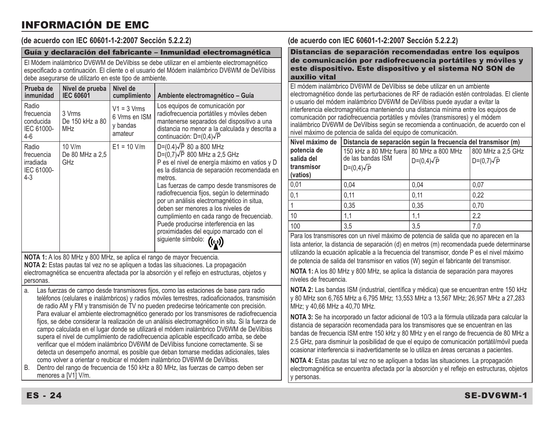## INFORMACIÓN DE EMC

#### **(de acuerdo con IEC 60601-1-2:2007 Sección 5.2.2.2)**

#### Guía y declaración del fabricante – Inmunidad electromagnética

El Módem inalámbrico DV6WM de DeVilbiss se debe utilizar en el ambiente electromagnético especificado a continuación. El cliente o el usuario del Módem inalámbrico DV6WM de DeVilbiss debe asegurarse de utilizarlo en este tipo de ambiente.

| Prueba de<br>inmunidad                                    | Nivel de prueba<br><b>IEC 60601</b>     | Nivel de<br>cumplimiento                              | Ambiente electromagnético - Guía                                                                                                                                                                                                                                                                                                                                                                                                                                                                                                 |
|-----------------------------------------------------------|-----------------------------------------|-------------------------------------------------------|----------------------------------------------------------------------------------------------------------------------------------------------------------------------------------------------------------------------------------------------------------------------------------------------------------------------------------------------------------------------------------------------------------------------------------------------------------------------------------------------------------------------------------|
| Radio<br>frecuencia<br>conducida<br>IEC 61000-<br>$4-6$   | 3 Vrms<br>De 150 kHz a 80<br><b>MHz</b> | $V1 = 3 Vrms$<br>6 Vrms en ISM<br>y bandas<br>amateur | Los equipos de comunicación por<br>radiofrecuencia portátiles y móviles deben<br>mantenerse separados del dispositivo a una<br>distancia no menor a la calculada y descrita a<br>continuación: D=(0,4)√P                                                                                                                                                                                                                                                                                                                         |
| Radio<br>frecuencia<br>irradiada<br>IEC 61000-<br>$4 - 3$ | 10 V/m<br>De 80 MHz a 2,5<br>GHz        | $E1 = 10$ V/m                                         | $D=(0.4)\sqrt{P}$ 80 a 800 MHz<br>D=(0,7) $\sqrt{P}$ 800 MHz a 2,5 GHz<br>P es el nivel de energía máximo en vatios y D<br>es la distancia de separación recomendada en<br>metros.<br>Las fuerzas de campo desde transmisores de<br>radiofrecuencia fijos, según lo determinado<br>por un análisis electromagnético in situa,<br>deben ser menores a los niveles de<br>cumplimiento en cada rango de frecuenciab.<br>Puede producirse interferencia en las<br>proximidades del equipo marcado con el<br>siguiente símbolo: ((y)) |

**NOTA 1:** A los 80 MHz y 800 MHz, se aplica el rango de mayor frecuencia. **NOTA 2:** Estas pautas tal vez no se apliquen a todas las situaciones. La propagación electromagnética se encuentra afectada por la absorción y el reflejo en estructuras, objetos y personas.

a. Las fuerzas de campo desde transmisores fijos, como las estaciones de base para radio teléfonos (celulares e inalámbricos) y radios móviles terrestres, radioaficionados, transmisión de radio AM y FM y transmisión de TV no pueden predecirse teóricamente con precisión. Para evaluar el ambiente electromagnético generado por los transmisores de radiofrecuencia fijos, se debe considerar la realización de un análisis electromagnético in situ. Si la fuerza de campo calculada en el lugar donde se utilizará el módem inalámbrico DV6WM de DeVilbiss supera el nivel de cumplimiento de radiofrecuencia aplicable especificado arriba, se debe verificar que el módem inalámbrico DV6WM de DeVilbiss funcione correctamente. Si se detecta un desempeño anormal, es posible que deban tomarse medidas adicionales, tales como volver a orientar o reubicar el módem inalámbrico DV6WM de DeVilbiss.

B. Dentro del rango de frecuencia de 150 kHz a 80 MHz, las fuerzas de campo deben ser menores a [V1] V/m.

#### **(de acuerdo con IEC 60601-1-2:2007 Sección 5.2.2.2)**

Distancias de separación recomendadas entre los equipos de comunicación por radiofrecuencia portátiles y móviles y este dispositivo. Este dispositivo y el sistema NO SON de auxilio vital

El módem inalámbrico DV6WM de DeVilbiss se debe utilizar en un ambiente electromagnético donde las perturbaciones de RF de radiación estén controladas. El cliente o usuario del módem inalámbrico DV6WM de DeVilbiss puede ayudar a evitar la interferencia electromagnética manteniendo una distancia mínima entre los equipos de comunicación por radiofrecuencia portátiles y móviles (transmisores) y el módem inalámbrico DV6WM de DeVilbiss según se recomienda a continuación, de acuerdo con el nivel máximo de potencia de salida del equipo de comunicación.

| Nivel máximo de                                     | Distancia de separación según la frecuencia del transmisor (m)                    |                   |                                        |  |
|-----------------------------------------------------|-----------------------------------------------------------------------------------|-------------------|----------------------------------------|--|
| potencia de<br>salida del<br>transmisor<br>(vatios) | 150 kHz a 80 MHz fuera 80 MHz a 800 MHz<br>de las bandas ISM<br>$D=(0,4)\sqrt{P}$ | $D=(0,4)\sqrt{P}$ | 800 MHz a 2,5 GHz<br>$D=(0,7)\sqrt{P}$ |  |
| 0.01                                                | 0.04                                                                              | 0.04              | 0.07                                   |  |
| 0,1                                                 | 0.11                                                                              | 0.11              | 0.22                                   |  |
|                                                     | 0.35                                                                              | 0.35              | 0.70                                   |  |
| 10                                                  | 1.1                                                                               |                   | 2,2                                    |  |
| 100                                                 | 3,5                                                                               | 3,5               | 7.0                                    |  |

Para los transmisores con un nivel máximo de potencia de salida que no aparecen en la lista anterior, la distancia de separación (d) en metros (m) recomendada puede determinarse utilizando la ecuación aplicable a la frecuencia del transmisor, donde P es el nivel máximo de potencia de salida del transmisor en vatios (W) según el fabricante del transmisor.

**NOTA 1:** A los 80 MHz y 800 MHz, se aplica la distancia de separación para mayores niveles de frecuencia.

**NOTA 2:** Las bandas ISM (industrial, científica y médica) que se encuentran entre 150 kHz y 80 MHz son 6,765 MHz a 6,795 MHz; 13,553 MHz a 13,567 MHz; 26,957 MHz a 27,283 MHz; y 40,66 MHz a 40,70 MHz.

**NOTA 3:** Se ha incorporado un factor adicional de 10/3 a la fórmula utilizada para calcular la distancia de separación recomendada para los transmisores que se encuentran en las bandas de frecuencia ISM entre 150 kHz y 80 MHz y en el rango de frecuencia de 80 MHz a 2.5 GHz, para disminuir la posibilidad de que el equipo de comunicación portátil/móvil pueda ocasionar interferencia si inadvertidamente se lo utiliza en áreas cercanas a pacientes.

**NOTA 4:** Estas pautas tal vez no se apliquen a todas las situaciones. La propagación electromagnética se encuentra afectada por la absorción y el reflejo en estructuras, objetos personas.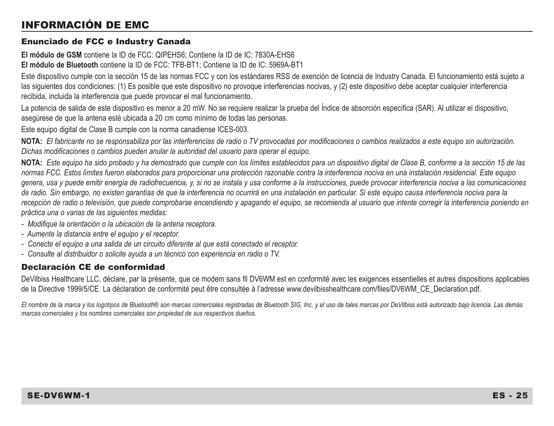## INFORMACIÓN DE EMC

#### Enunciado de FCC e Industry Canada

**El módulo de GSM** contiene la ID de FCC: QIPEHS6; Contiene la ID de IC: 7830A-EHS6 **El módulo de Bluetooth** contiene la ID de FCC: TFB-BT1; Contiene la ID de IC: 5969A-BT1

Este dispositivo cumple con la sección 15 de las normas FCC y con los estándares RSS de exención de licencia de Industry Canada. El funcionamiento está sujeto a las siguientes dos condiciones: (1) Es posible que este dispositivo no provoque interferencias nocivas, y (2) este dispositivo debe aceptar cualquier interferencia recibida, incluida la interferencia que puede provocar el mal funcionamiento.

La potencia de salida de este dispositivo es menor a 20 mW. No se requiere realizar la prueba del Índice de absorción específica (SAR). Al utilizar el dispositivo, asegúrese de que la antena esté ubicada a 20 cm como mínimo de todas las personas.

Este equipo digital de Clase B cumple con la norma canadiense ICES-003.

**NOTA:** *El fabricante no se responsabiliza por las interferencias de radio o TV provocadas por modificaciones o cambios realizados a este equipo sin autorización. Dichas modificaciones o cambios pueden anular la autoridad del usuario para operar el equipo.*

**NOTA:** *Este equipo ha sido probado y ha demostrado que cumple con los límites establecidos para un dispositivo digital de Clase B, conforme a la sección 15 de las normas FCC. Estos límites fueron elaborados para proporcionar una protección razonable contra la interferencia nociva en una instalación residencial. Este equipo genera, usa y puede emitir energía de radiofrecuencia, y, si no se instala y usa conforme a la instrucciones, puede provocar interferencia nociva a las comunicaciones de radio. Sin embargo, no existen garantías de que la interferencia no ocurrirá en una instalación en particular. Si este equipo causa interferencia nociva para la*  recepción de radio o televisión, que puede comprobarse encendiendo y apagando el equipo, se recomienda al usuario que intente corregir la interferencia poniendo en *práctica una o varias de las siguientes medidas:*

- *Modifique la orientación o la ubicación de la antena receptora.*
- *Aumente la distancia entre el equipo y el receptor.*
- *Conecte el equipo a una salida de un circuito diferente al que está conectado el receptor.*
- *Consulte al distribuidor o solicite ayuda a un técnico con experiencia en radio o TV.*

#### Declaración CE de conformidad

DeVilbiss Healthcare LLC, déclare, par la présente, que ce modem sans fil DV6WM est en conformité avec les exigences essentielles et autres dispositions applicables de la Directive 1999/5/CE. La déclaration de conformité peut être consultée à l'adresse www.devilbisshealthcare.com/files/DV6WM\_CE\_Declaration.pdf.

*El nombre de la marca y los logotipos de Bluetooth® son marcas comerciales registradas de Bluetooth SIG, Inc. y el uso de tales marcas por DeVilbiss está autorizado bajo licencia. Las demás marcas comerciales y los nombres comerciales son propiedad de sus respectivos dueños.*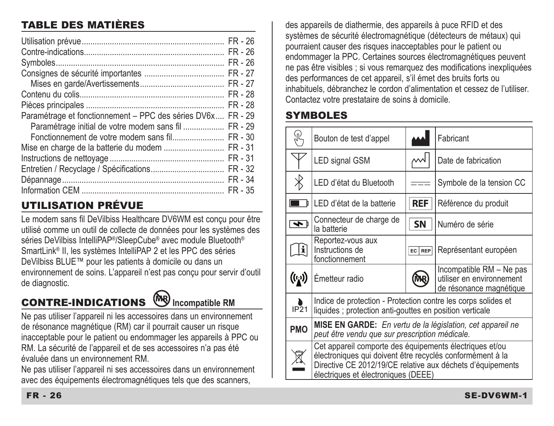## TABLE DES MATIÈRES

|                                                     | $FR - 26$<br>$FR - 26$ |
|-----------------------------------------------------|------------------------|
|                                                     | $FR - 26$              |
|                                                     | FR - 27                |
|                                                     | FR - 27                |
|                                                     | FR - 28                |
|                                                     | FR-28                  |
| Paramétrage et fonctionnement - PPC des séries DV6x | $FR - 29$              |
| Paramétrage initial de votre modem sans fil         | FR-29                  |
| Fonctionnement de votre modem sans fil              | $FR - 30$              |
|                                                     | FR - 31                |
|                                                     | FR - 31                |
|                                                     | FR - 32                |
|                                                     | FR - 34                |
|                                                     | $FR - 35$              |

## UTILISATION PRÉVUE

Le modem sans fil DeVilbiss Healthcare DV6WM est conçu pour être utilisé comme un outil de collecte de données pour les systèmes des séries DeVilbiss IntelliPAP®/SleepCube® avec module Bluetooth® SmartLink® II, les systèmes IntelliPAP 2 et les PPC des séries DeVilbiss BLUE™ pour les patients à domicile ou dans un environnement de soins. L'appareil n'est pas conçu pour servir d'outil de diagnostic.

# **CONTRE-INDICATIONS** WWW Incompatible RM

Ne pas utiliser l'appareil ni les accessoires dans un environnement de résonance magnétique (RM) car il pourrait causer un risque inacceptable pour le patient ou endommager les appareils à PPC ou RM. La sécurité de l'appareil et de ses accessoires n'a pas été évaluée dans un environnement RM.

Ne pas utiliser l'appareil ni ses accessoires dans un environnement avec des équipements électromagnétiques tels que des scanners.

des appareils de diathermie, des appareils à puce RFID et des systèmes de sécurité électromagnétique (détecteurs de métaux) qui pourraient causer des risques inacceptables pour le patient ou endommager la PPC. Certaines sources électromagnétiques peuvent ne pas être visibles ; si vous remarquez des modifications inexpliquées des performances de cet appareil, s'il émet des bruits forts ou inhabituels, débranchez le cordon d'alimentation et cessez de l'utiliser. Contactez votre prestataire de soins à domicile.

## SYMBOLES

| ŹU,                      | Bouton de test d'appel                                                                                                                                                                                                    |            | Fabricant                                                                        |  |
|--------------------------|---------------------------------------------------------------------------------------------------------------------------------------------------------------------------------------------------------------------------|------------|----------------------------------------------------------------------------------|--|
|                          | LED signal GSM                                                                                                                                                                                                            |            | Date de fabrication                                                              |  |
| $\overline{\mathcal{X}}$ | LED d'état du Bluetooth                                                                                                                                                                                                   |            | Symbole de la tension CC                                                         |  |
|                          | LED d'état de la batterie                                                                                                                                                                                                 | <b>REF</b> | Référence du produit                                                             |  |
| ৰু                       | Connecteur de charge de<br>la batterie                                                                                                                                                                                    | <b>SN</b>  | Numéro de série                                                                  |  |
| Ŀ                        | Reportez-vous aux<br>Instructions de<br>fonctionnement                                                                                                                                                                    | EC REP     | Représentant européen                                                            |  |
| $(\mathfrak{l}_1)$       | Émetteur radio                                                                                                                                                                                                            |            | Incompatible RM - Ne pas<br>utiliser en environnement<br>de résonance magnétique |  |
| P <sub>21</sub>          | Indice de protection - Protection contre les corps solides et<br>liquides ; protection anti-gouttes en position verticale                                                                                                 |            |                                                                                  |  |
| <b>PMO</b>               | MISE EN GARDE: En vertu de la législation, cet appareil ne<br>peut être vendu que sur prescription médicale.                                                                                                              |            |                                                                                  |  |
|                          | Cet appareil comporte des équipements électriques et/ou<br>électroniques qui doivent être recyclés conformément à la<br>Directive CE 2012/19/CE relative aux déchets d'équipements<br>électriques et électroniques (DEEE) |            |                                                                                  |  |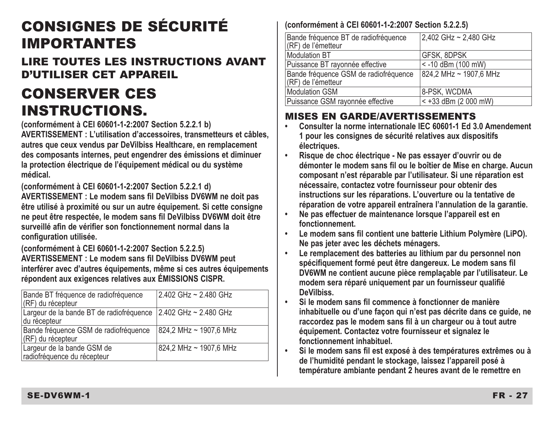# CONSIGNES DE SÉCURITÉ IMPORTANTES

LIRE TOUTES LES INSTRUCTIONS AVANT D'UTILISER CET APPAREIL

# CONSERVER CES INSTRUCTIONS.

**(conformément à CEI 60601-1-2:2007 Section 5.2.2.1 b) AVERTISSEMENT : L'utilisation d'accessoires, transmetteurs et câbles, autres que ceux vendus par DeVilbiss Healthcare, en remplacement des composants internes, peut engendrer des émissions et diminuer la protection électrique de l'équipement médical ou du système médical.** 

**(conformément à CEI 60601-1-2:2007 Section 5.2.2.1 d) AVERTISSEMENT : Le modem sans fil DeVilbiss DV6WM ne doit pas être utilisé à proximité ou sur un autre équipement. Si cette consigne ne peut être respectée, le modem sans fil DeVilbiss DV6WM doit être surveillé afin de vérifier son fonctionnement normal dans la configuration utilisée.**

**(conformément à CEI 60601-1-2:2007 Section 5.2.2.5) AVERTISSEMENT : Le modem sans fil DeVilbiss DV6WM peut interférer avec d'autres équipements, même si ces autres équipements répondent aux exigences relatives aux ÉMISSIONS CISPR.**

| Bande BT fréquence de radiofréquence<br>(RF) du récepteur                      | 2.402 GHz ~ 2.480 GHz  |
|--------------------------------------------------------------------------------|------------------------|
| Largeur de la bande BT de radiofréquence 2.402 GHz ~ 2.480 GHz<br>du récepteur |                        |
| Bande fréquence GSM de radiofréquence<br>(RF) du récepteur                     | 824,2 MHz ~ 1907,6 MHz |
| Largeur de la bande GSM de<br>radiofréquence du récepteur                      | 824.2 MHz ~ 1907.6 MHz |

#### **(conformément à CEI 60601-1-2:2007 Section 5.2.2.5)**

| Bande fréquence BT de radiofréquence<br>(RF) de l'émetteur  | 2,402 GHz ~ 2,480 GHz  |
|-------------------------------------------------------------|------------------------|
| <b>Modulation BT</b>                                        | GFSK, 8DPSK            |
| Puissance BT rayonnée effective                             | < -10 dBm (100 mW)     |
| Bande fréquence GSM de radiofréquence<br>(RF) de l'émetteur | 824.2 MHz ~ 1907.6 MHz |
| <b>Modulation GSM</b>                                       | 8-PSK, WCDMA           |
| Puissance GSM rayonnée effective                            | $< +33$ dBm (2 000 mW) |

## MISES EN GARDE/AVERTISSEMENTS

- **• Consulter la norme internationale IEC 60601-1 Ed 3.0 Amendement 1 pour les consignes de sécurité relatives aux dispositifs électriques.**
- **Risque de choc électrique Ne pas essayer d'ouvrir ou de démonter le modem sans fil ou le boîtier de Mise en charge. Aucun composant n'est réparable par l'utilisateur. Si une réparation est nécessaire, contactez votre fournisseur pour obtenir des instructions sur les réparations. L'ouverture ou la tentative de réparation de votre appareil entraînera l'annulation de la garantie.**
- **Ne pas effectuer de maintenance lorsque l'appareil est en fonctionnement.**
- **Le modem sans fil contient une batterie Lithium Polymère (LiPO). Ne pas jeter avec les déchets ménagers.**
- **• Le remplacement des batteries au lithium par du personnel non spécifiquement formé peut être dangereux. Le modem sans fil DV6WM ne contient aucune pièce remplaçable par l'utilisateur. Le modem sera réparé uniquement par un fournisseur qualifié DeVilbiss.**
- **Si le modem sans fil commence à fonctionner de manière inhabituelle ou d'une façon qui n'est pas décrite dans ce guide, ne raccordez pas le modem sans fil à un chargeur ou à tout autre équipement. Contactez votre fournisseur et signalez le fonctionnement inhabituel.**
- **Si le modem sans fil est exposé à des températures extrêmes ou à de l'humidité pendant le stockage, laissez l'appareil posé à température ambiante pendant 2 heures avant de le remettre en**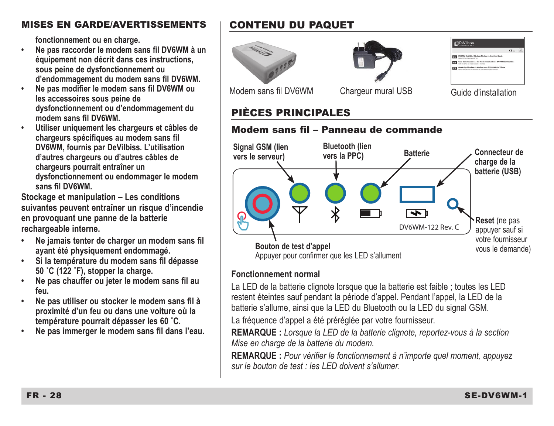#### MISES EN GARDE/AVERTISSEMENTS

**fonctionnement ou en charge.**

- **Ne pas raccorder le modem sans fil DV6WM à un équipement non décrit dans ces instructions, sous peine de dysfonctionnement ou d'endommagement du modem sans fil DV6WM.**
- **Ne pas modifier le modem sans fil DV6WM ou les accessoires sous peine de dysfonctionnement ou d'endommagement du modem sans fil DV6WM.**
- **Utiliser uniquement les chargeurs et câbles de chargeurs spécifiques au modem sans fil DV6WM, fournis par DeVilbiss. L'utilisation d'autres chargeurs ou d'autres câbles de chargeurs pourrait entraîner un dysfonctionnement ou endommager le modem sans fil DV6WM.**

**Stockage et manipulation – Les conditions suivantes peuvent entraîner un risque d'incendie en provoquant une panne de la batterie rechargeable interne.** 

- **Ne jamais tenter de charger un modem sans fil ayant été physiquement endommagé.**
- **Si la température du modem sans fil dépasse 50 ˚C (122 ˚F), stopper la charge.**
- **Ne pas chauffer ou jeter le modem sans fil au feu.**
- **Ne pas utiliser ou stocker le modem sans fil à proximité d'un feu ou dans une voiture où la température pourrait dépasser les 60 ˚C.**
- **Ne pas immerger le modem sans fil dans l'eau.**

## CONTENU DU PAQUET





**C** DeVilbiss

Modem sans fil DV6WM Chargeur mural USB Guide d'installation

## PIÈCES PRINCIPALES

#### Modem sans fil – Panneau de commande



#### **Fonctionnement normal**

La LED de la batterie clignote lorsque que la batterie est faible ; toutes les LED restent éteintes sauf pendant la période d'appel. Pendant l'appel, la LED de la batterie s'allume, ainsi que la LED du Bluetooth ou la LED du signal GSM.

La fréquence d'appel a été préréglée par votre fournisseur.

**REMARQUE :** *Lorsque la LED de la batterie clignote, reportez-vous à la section Mise en charge de la batterie du modem.*

**REMARQUE :** *Pour vérifier le fonctionnement à n'importe quel moment, appuyez sur le bouton de test : les LED doivent s'allumer.*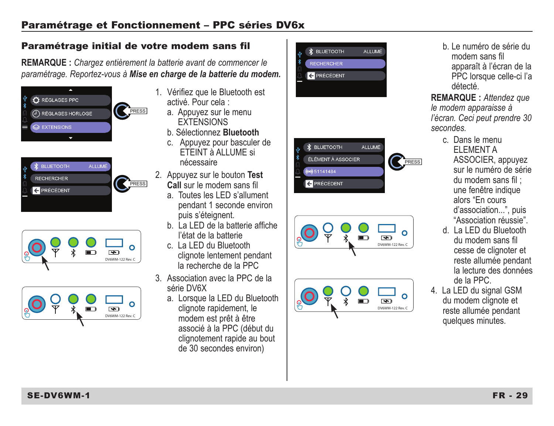## Paramétrage et Fonctionnement – PPC séries DV6x

#### Paramétrage initial de votre modem sans fil

**REMARQUE :** *Chargez entièrement la batterie avant de commencer le paramétrage. Reportez-vous à Mise en charge de la batterie du modem.*









- 1. Vérifiez que le Bluetooth est activé. Pour cela :
	- a. Appuyez sur le menu **EXTENSIONS**
	- b. Sélectionnez **Bluetooth**
	- c. Appuyez pour basculer de ETEINT à ALLUME si nécessaire
- 2. Appuyez sur le bouton **Test Call** sur le modem sans fil
	- a. Toutes les LED s'allument pendant 1 seconde environ puis s'éteignent.
	- b. La LED de la batterie affiche l'état de la batterie
	- c. La LED du Bluetooth clignote lentement pendant la recherche de la PPC
- 3. Association avec la PPC de la série DV6X
	- a. Lorsque la LED du Bluetooth clignote rapidement, le modem est prêt à être associé à la PPC (début du clignotement rapide au bout de 30 secondes environ)





 b. Le numéro de série du modem sans fil apparaît à l'écran de la PPC lorsque celle-ci l'a détecté.

**REMARQUE :** *Attendez que le modem apparaisse à l'écran. Ceci peut prendre 30 secondes.* 

- c. Dans le menu ELEMENT A ASSOCIER, appuyez sur le numéro de série du modem sans fil ; une fenêtre indique alors "En cours d'association...", puis "Association réussie".
- d. La LED du Bluetooth du modem sans fil cesse de clignoter et reste allumée pendant la lecture des données de la PPC.
- 4. La LED du signal GSM du modem clignote et reste allumée pendant quelques minutes.

SE-DV6WM-1 FR - 29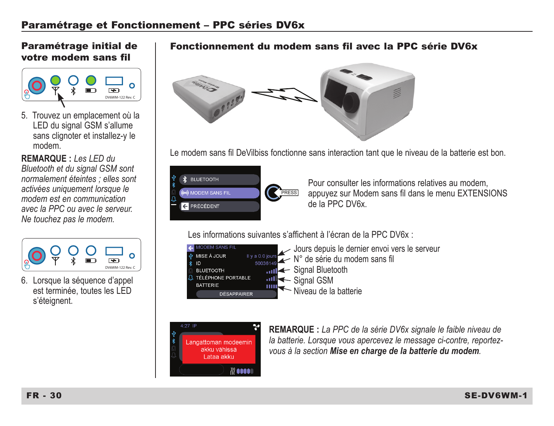#### Paramétrage initial de votre modem sans fil



5. Trouvez un emplacement où la LED du signal GSM s'allume sans clignoter et installez-y le modem.

**REMARQUE :** *Les LED du Bluetooth et du signal GSM sont normalement éteintes ; elles sont activées uniquement lorsque le modem est en communication avec la PPC ou avec le serveur. Ne touchez pas le modem.*



Lorsque la séquence d'appel est terminée, toutes les LED s'éteignent.

#### Fonctionnement du modem sans fil avec la PPC série DV6x



Le modem sans fil DeVilbiss fonctionne sans interaction tant que le niveau de la batterie est bon.



Pour consulter les informations relatives au modem, appuyez sur Modem sans fil dans le menu EXTENSIONS de la PPC DV6x.

Les informations suivantes s'affichent à l'écran de la PPC DV6x :





**REMARQUE :** *La PPC de la série DV6x signale le faible niveau de la batterie. Lorsque vous apercevez le message ci-contre, reportezvous à la section Mise en charge de la batterie du modem.*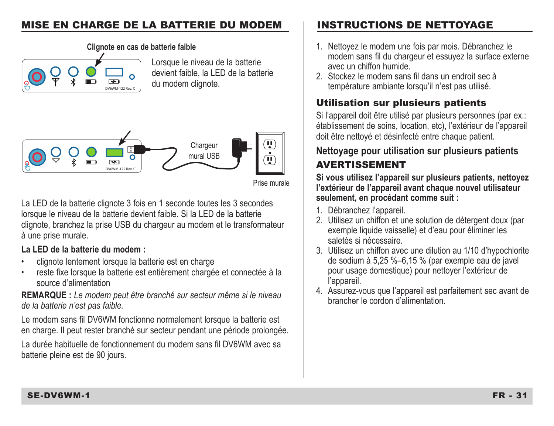### MISE EN CHARGE DE LA BATTERIE DU MODEM | INSTRUCTIONS DE NETTOYAGE



Lorsque le niveau de la batterie devient faible, la LED de la batterie du modem clignote.



Prise murale

La LED de la batterie clignote 3 fois en 1 seconde toutes les 3 secondes lorsque le niveau de la batterie devient faible. Si la LED de la batterie clignote, branchez la prise USB du chargeur au modem et le transformateur à une prise murale.

#### **La LED de la batterie du modem :**

- clignote lentement lorsque la batterie est en charge
- reste fixe lorsque la batterie est entièrement chargée et connectée à la source d'alimentation

**REMARQUE :** *Le modem peut être branché sur secteur même si le niveau de la batterie n'est pas faible.*

Le modem sans fil DV6WM fonctionne normalement lorsque la batterie est en charge. Il peut rester branché sur secteur pendant une période prolongée.

La durée habituelle de fonctionnement du modem sans fil DV6WM avec sa batterie pleine est de 90 jours.

- **Clignote en cas de batterie faible** 1. Nettoyez le modem une fois par mois. Débranchez le modem sans fil du chargeur et essuyez la surface externe avec un chiffon humide.
	- 2. Stockez le modem sans fil dans un endroit sec à température ambiante lorsqu'il n'est pas utilisé.

### Utilisation sur plusieurs patients

Si l'appareil doit être utilisé par plusieurs personnes (par ex.: établissement de soins, location, etc), l'extérieur de l'appareil doit être nettoyé et désinfecté entre chaque patient.

## **Nettoyage pour utilisation sur plusieurs patients**

## AVERTISSEMENT

**Si vous utilisez l'appareil sur plusieurs patients, nettoyez l'extérieur de l'appareil avant chaque nouvel utilisateur seulement, en procédant comme suit :**

- 1. Débranchez l'appareil.
- 2. Utilisez un chiffon et une solution de détergent doux (par exemple liquide vaisselle) et d'eau pour éliminer les saletés si nécessaire.
- 3. Utilisez un chiffon avec une dilution au 1/10 d'hypochlorite de sodium à 5,25 %–6,15 % (par exemple eau de javel pour usage domestique) pour nettoyer l'extérieur de l'appareil.
- 4. Assurez-vous que l'appareil est parfaitement sec avant de brancher le cordon d'alimentation.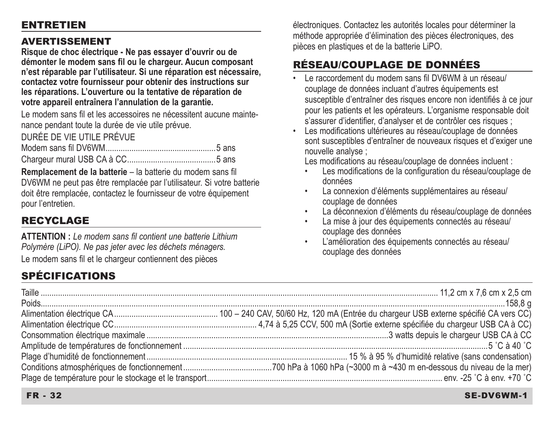#### ENTRETIEN

#### AVERTISSEMENT

**Risque de choc électrique - Ne pas essayer d'ouvrir ou de démonter le modem sans fil ou le chargeur. Aucun composant n'est réparable par l'utilisateur. Si une réparation est nécessaire, contactez votre fournisseur pour obtenir des instructions sur**  les réparations. L'ouverture ou la tentative de réparation de **votre appareil entraînera l'annulation de la garantie.**

Le modem sans fil et les accessoires ne nécessitent aucune maintenance pendant toute la durée de vie utile prévue.

DURÉE DE VIE UTILE PRÉVUE

**Remplacement de la batterie** – la batterie du modem sans fil DV6WM ne peut pas être remplacée par l'utilisateur. Si votre batterie doit être remplacée, contactez le fournisseur de votre équipement pour l'entretien.

## RECYCLAGE

**ATTENTION :** *Le modem sans fil contient une batterie Lithium Polymère (LiPO). Ne pas jeter avec les déchets ménagers.* Le modem sans fil et le chargeur contiennent des pièces

## SPÉCIFICATIONS

électroniques. Contactez les autorités locales pour déterminer la méthode appropriée d'élimination des pièces électroniques, des pièces en plastiques et de la batterie LiPO.

## RÉSEAU/COUPLAGE DE DONNÉES

- Le raccordement du modem sans fil DV6WM à un réseau/ couplage de données incluant d'autres équipements est susceptible d'entraîner des risques encore non identifiés à ce jour pour les patients et les opérateurs. L'organisme responsable doit s'assurer d'identifier, d'analyser et de contrôler ces risques ;
- Les modifications ultérieures au réseau/couplage de données sont susceptibles d'entraîner de nouveaux risques et d'exiger une nouvelle analyse ;

Les modifications au réseau/couplage de données incluent :

- Les modifications de la configuration du réseau/couplage de données
- La connexion d'éléments supplémentaires au réseau/ couplage de données
- La déconnexion d'éléments du réseau/couplage de données
- La mise à jour des équipements connectés au réseau/ couplage des données
- L'amélioration des équipements connectés au réseau/ couplage des données

#### FR - 32 SE-DV6WM-1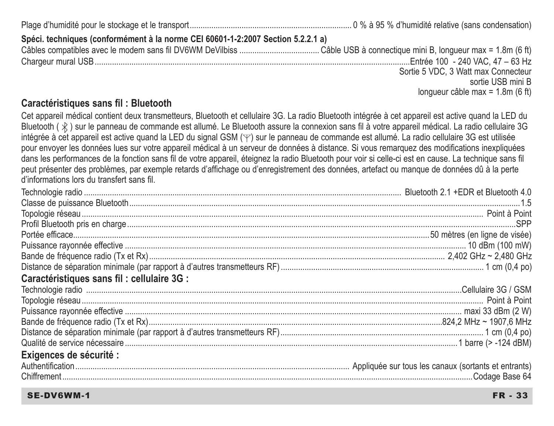Plage d'humidité pour le stockage et le transport ........................................................................... 0 % à 95 % d'humidité relative (sans condensation) **Spéci. techniques (conformément à la norme CEI 60601-1-2:2007 Section 5.2.2.1 a)** Câbles compatibles avec le modem sans fil DV6WM DeVilbiss ..................................... Câble USB à connectique mini B, longueur max = 1.8m (6 ft) Chargeur mural USB ..................................................................................................................................................Entrée 100 - 240 VAC, 47 – 63 Hz Sortie 5 VDC, 3 Watt max Connecteur sortie USB mini B longueur câble max = 1.8m (6 ft)

#### **Caractéristiques sans fil : Bluetooth**

Cet appareil médical contient deux transmetteurs, Bluetooth et cellulaire 3G. La radio Bluetooth intégrée à cet appareil est active quand la LED du Bluetooth  $(x)$  sur le panneau de commande est allumé. Le Bluetooth assure la connexion sans fil à votre appareil médical. La radio cellulaire 3G intégrée à cet appareil est active quand la LED du signal GSM (\F) sur le panneau de commande est allumé. La radio cellulaire 3G est utilisée pour envoyer les données lues sur votre appareil médical à un serveur de données à distance. Si vous remarquez des modifications inexpliquées dans les performances de la fonction sans fil de votre appareil, éteignez la radio Bluetooth pour voir si celle-ci est en cause. La technique sans fil peut présenter des problèmes, par exemple retards d'affichage ou d'enregistrement des données, artefact ou manque de données dû à la perte d'informations lors du transfert sans fil.

| Caractéristiques sans fil : cellulaire 3G : |  |
|---------------------------------------------|--|
|                                             |  |
|                                             |  |
|                                             |  |
|                                             |  |
|                                             |  |
|                                             |  |
| Exigences de sécurité :                     |  |
|                                             |  |
|                                             |  |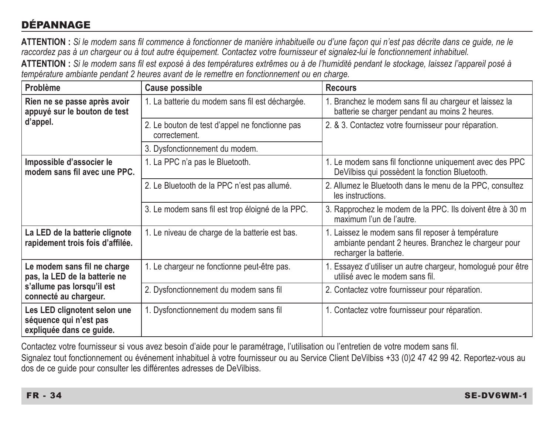## DÉPANNAGE

**ATTENTION :** *Si le modem sans fil commence à fonctionner de manière inhabituelle ou d'une façon qui n'est pas décrite dans ce guide, ne le raccordez pas à un chargeur ou à tout autre équipement. Contactez votre fournisseur et signalez-lui le fonctionnement inhabituel.*

**ATTENTION :** *Si le modem sans fil est exposé à des températures extrêmes ou à de l'humidité pendant le stockage, laissez l'appareil posé à température ambiante pendant 2 heures avant de le remettre en fonctionnement ou en charge.*

| Problème                                                                           | Cause possible                                                  | <b>Recours</b>                                                                                                                       |  |
|------------------------------------------------------------------------------------|-----------------------------------------------------------------|--------------------------------------------------------------------------------------------------------------------------------------|--|
| Rien ne se passe après avoir<br>appuyé sur le bouton de test                       | 1. La batterie du modem sans fil est déchargée.                 | 1. Branchez le modem sans fil au chargeur et laissez la<br>batterie se charger pendant au moins 2 heures.                            |  |
| d'appel.                                                                           | 2. Le bouton de test d'appel ne fonctionne pas<br>correctement. | 2. & 3. Contactez votre fournisseur pour réparation.                                                                                 |  |
|                                                                                    | 3. Dysfonctionnement du modem.                                  |                                                                                                                                      |  |
| Impossible d'associer le<br>modem sans fil avec une PPC.                           | 1. La PPC n'a pas le Bluetooth.                                 | 1. Le modem sans fil fonctionne uniquement avec des PPC<br>DeVilbiss qui possèdent la fonction Bluetooth.                            |  |
|                                                                                    | 2. Le Bluetooth de la PPC n'est pas allumé.                     | 2. Allumez le Bluetooth dans le menu de la PPC, consultez<br>les instructions.                                                       |  |
|                                                                                    | 3. Le modem sans fil est trop éloigné de la PPC.                | 3. Rapprochez le modem de la PPC. Ils doivent être à 30 m<br>maximum l'un de l'autre.                                                |  |
| La LED de la batterie clignote<br>rapidement trois fois d'affilée.                 | 1. Le niveau de charge de la batterie est bas.                  | 1. Laissez le modem sans fil reposer à température<br>ambiante pendant 2 heures. Branchez le chargeur pour<br>recharger la batterie. |  |
| Le modem sans fil ne charge<br>pas, la LED de la batterie ne                       | 1. Le chargeur ne fonctionne peut-être pas.                     | 1. Essayez d'utiliser un autre chargeur, homologué pour être<br>utilisé avec le modem sans fil.                                      |  |
| s'allume pas lorsqu'il est<br>connecté au chargeur.                                | 2. Dysfonctionnement du modem sans fil                          | 2. Contactez votre fournisseur pour réparation.                                                                                      |  |
| Les LED clignotent selon une<br>séquence qui n'est pas<br>expliquée dans ce guide. | 1. Dysfonctionnement du modem sans fil                          | 1. Contactez votre fournisseur pour réparation.                                                                                      |  |

Contactez votre fournisseur si vous avez besoin d'aide pour le paramétrage, l'utilisation ou l'entretien de votre modem sans fil. Signalez tout fonctionnement ou événement inhabituel à votre fournisseur ou au Service Client DeVilbiss +33 (0)2 47 42 99 42. Reportez-vous au dos de ce guide pour consulter les différentes adresses de DeVilbiss.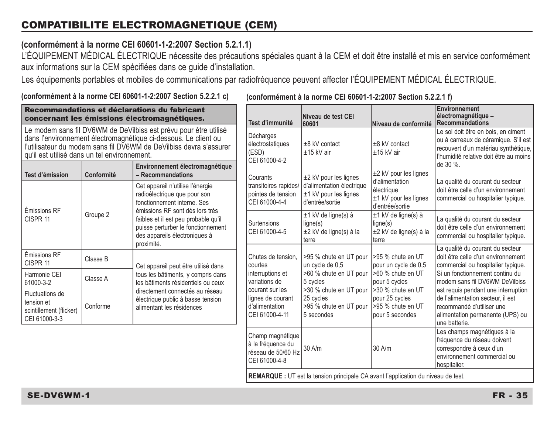#### **(conformément à la norme CEI 60601-1-2:2007 Section 5.2.1.1)**

L'ÉQUIPEMENT MÉDICAL ÉLECTRIQUE nécessite des précautions spéciales quant à la CEM et doit être installé et mis en service conformément aux informations sur la CEM spécifiées dans ce guide d'installation.

Les équipements portables et mobiles de communications par radiofréquence peuvent affecter l'ÉQUIPEMENT MÉDICAL ÉLECTRIQUE.

**(conformément à la norme CEI 60601-1-2:2007 Section 5.2.2.1 c)**

| Recommandations et déclarations du fabricant<br>concernant les émissions électromagnétiques.                                                                                                                                                                |                                                                                                                                                                          | Test d'immunité                                                                                   | Niveau de test CEI<br>60601                                                                 | Niveau de conformité                                                        | Environnement<br>électromagnétique -<br><b>Recommandations</b>                                                                                                            |                                                                                                                                                            |
|-------------------------------------------------------------------------------------------------------------------------------------------------------------------------------------------------------------------------------------------------------------|--------------------------------------------------------------------------------------------------------------------------------------------------------------------------|---------------------------------------------------------------------------------------------------|---------------------------------------------------------------------------------------------|-----------------------------------------------------------------------------|---------------------------------------------------------------------------------------------------------------------------------------------------------------------------|------------------------------------------------------------------------------------------------------------------------------------------------------------|
| Le modem sans fil DV6WM de DeVilbiss est prévu pour être utilisé<br>dans l'environnement électromagnétique ci-dessous. Le client ou<br>l l'utilisateur du modem sans fil DV6WM de DeVilbiss devra s'assurer<br>qu'il est utilisé dans un tel environnement. |                                                                                                                                                                          | Décharges<br>électrostatiques<br>(ESD)<br>CEI 61000-4-2                                           | $±8$ kV contact<br>$±15$ kV air                                                             | $±8$ kV contact<br>$±15$ kV air                                             | Le sol doit être en bois, en ciment<br>ou à carreaux de céramique. S'il est<br>recouvert d'un matériau synthétique,<br>l'humidité relative doit être au moins<br>de 30 %. |                                                                                                                                                            |
| Test d'émission                                                                                                                                                                                                                                             | Conformité                                                                                                                                                               | Environnement électromagnétique<br>- Recommandations                                              | Courants                                                                                    | ±2 kV pour les lignes                                                       | ±2 kV pour les lignes                                                                                                                                                     |                                                                                                                                                            |
| Cet appareil n'utilise l'énergie<br>radioélectrique que pour son<br>fonctionnement interne. Ses<br>Émissions RF                                                                                                                                             |                                                                                                                                                                          | pointes de tension<br>CEI 61000-4-4                                                               | transitoires rapides/ d'alimentation électrique<br>±1 kV pour les lignes<br>d'entrée/sortie | d'alimentation<br>électrique<br>$±1$ kV pour les lignes<br>d'entrée/sortie  | La qualité du courant du secteur<br>doit être celle d'un environnement<br>commercial ou hospitalier typique.                                                              |                                                                                                                                                            |
| CISPR <sub>11</sub>                                                                                                                                                                                                                                         | émissions RF sont dès lors très<br>Groupe 2<br>faibles et il est peu probable qu'il<br>puisse perturber le fonctionnement<br>des appareils électroniques à<br>proximité. |                                                                                                   | <b>Surtensions</b><br>CEI 61000-4-5                                                         | ±1 kV de ligne(s) à<br>ligne(s)<br>±2 kV de ligne(s) à la<br>terre          | ±1 kV de ligne(s) à<br>lique(s)<br>±2 kV de ligne(s) à la<br>terre                                                                                                        | La qualité du courant du secteur<br>doit être celle d'un environnement<br>commercial ou hospitalier typique.                                               |
| Émissions RF<br>CISPR 11                                                                                                                                                                                                                                    | Classe B                                                                                                                                                                 | Cet appareil peut être utilisé dans                                                               | Chutes de tension.<br>courtes                                                               | >95 % chute en UT pour   >95 % chute en UT<br>un cycle de 0,5               | pour un cycle de 0,5                                                                                                                                                      | La qualité du courant du secteur<br>doit être celle d'un environnement<br>commercial ou hospitalier typique.                                               |
| Harmonie CEI<br>61000-3-2                                                                                                                                                                                                                                   | Classe A                                                                                                                                                                 | tous les bâtiments, y compris dans<br>les bâtiments résidentiels ou ceux                          | interruptions et<br>variations de                                                           | >60 % chute en UT pour   >60 % chute en UT<br>5 cycles                      | pour 5 cycles                                                                                                                                                             | Si un fonctionnement continu du<br>modem sans fil DV6WM DeVilbiss                                                                                          |
| Fluctuations de<br>tension et<br>scintillement (flicker)<br>CEI 61000-3-3                                                                                                                                                                                   | Conforme                                                                                                                                                                 | directement connectés au réseau<br>électrique public à basse tension<br>alimentant les résidences | courant sur les<br>lignes de courant<br>d'alimentation<br>CEI 61000-4-11                    | >30 % chute en UT pour<br>25 cycles<br>>95 % chute en UT pour<br>5 secondes | >30 % chute en UT<br>pour 25 cycles<br>>95 % chute en UT<br>pour 5 secondes                                                                                               | est requis pendant une interruption<br>de l'alimentation secteur, il est<br>recommandé d'utiliser une<br>alimentation permanente (UPS) ou<br>une batterie. |
|                                                                                                                                                                                                                                                             |                                                                                                                                                                          |                                                                                                   | Champ magnétique<br>à la fréquence du<br>réseau de 50/60 Hz<br>CEI 61000-4-8                | $30$ A/m                                                                    | 30A/m                                                                                                                                                                     | Les champs magnétiques à la<br>fréquence du réseau doivent<br>correspondre à ceux d'un<br>environnement commercial ou<br>hospitalier.                      |
|                                                                                                                                                                                                                                                             |                                                                                                                                                                          | <b>REMARQUE</b> : UT est la tension principale CA avant l'application du niveau de test.          |                                                                                             |                                                                             |                                                                                                                                                                           |                                                                                                                                                            |

**(conformément à la norme CEI 60601-1-2:2007 Section 5.2.2.1 f)**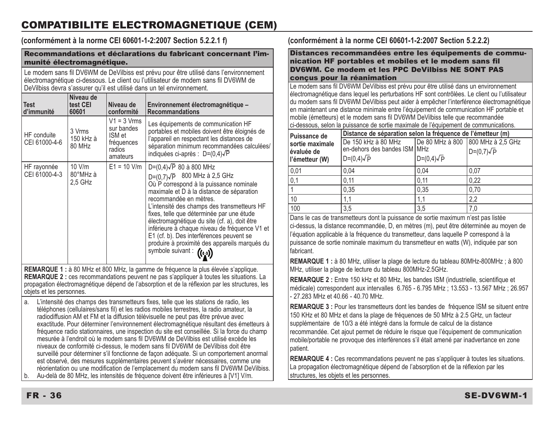### COMPATIBILITE ELECTROMAGNETIQUE (CEM)

**(conformément à la norme CEI 60601-1-2:2007 Section 5.2.2.1 f)**

#### Recommandations et déclarations du fabricant concernant l'immunité électromagnétique.

Le modem sans fil DV6WM de DeVilbiss est prévu pour être utilisé dans l'environnement électromagnétique ci-dessous. Le client ou l'utilisateur de modem sans fil DV6WM de De Vilbiss devra s'assurer qu'il est utilisé dans un tel environnement.

| <b>Test</b><br>d'immunité                                                                                                                                                                                                                                                               | Niveau de<br>test CEI<br>60601  | Niveau de<br>conformité                                                   | Environnement électromagnétique -<br><b>Recommandations</b>                                                                                                                                                                                                                                                                                                                                                                                                                                                    |
|-----------------------------------------------------------------------------------------------------------------------------------------------------------------------------------------------------------------------------------------------------------------------------------------|---------------------------------|---------------------------------------------------------------------------|----------------------------------------------------------------------------------------------------------------------------------------------------------------------------------------------------------------------------------------------------------------------------------------------------------------------------------------------------------------------------------------------------------------------------------------------------------------------------------------------------------------|
| HF conduite<br>CEI 61000-4-6                                                                                                                                                                                                                                                            | 3 Vrms<br>150 kHz à<br>80 MHz   | $V1 = 3 Vrms$<br>sur bandes<br>ISM et<br>fréquences<br>radios<br>amateurs | Les équipements de communication HF<br>portables et mobiles doivent être éloignés de<br>l'appareil en respectant les distances de<br>séparation minimum recommandées calculées/<br>indiquées ci-après : $D=(0,4)\sqrt{P}$                                                                                                                                                                                                                                                                                      |
| HF rayonnée<br>CEI 61000-4-3                                                                                                                                                                                                                                                            | $10$ V/m<br>80°MHz à<br>2.5 GHz | $E1 = 10$ V/m                                                             | $D=(0,4)\sqrt{P}$ 80 à 800 MHz<br>D=(0,7) $\sqrt{P}$ 800 MHz à 2,5 GHz<br>Où P correspond à la puissance nominale<br>maximale et D à la distance de séparation<br>recommandée en mètres.<br>L'intensité des champs des transmetteurs HF<br>fixes, telle que déterminée par une étude<br>électromagnétique du site (cf. a), doit être<br>inférieure à chaque niveau de fréquence V1 et<br>E1 (cf. b). Des interférences peuvent se<br>produire à proximité des appareils marqués du<br>symbole suivant : ((to)) |
| REMARQUE 1 : à 80 MHz et 800 MHz, la gamme de fréquence la plus élevée s'applique.<br><b>REMARQUE 2</b> : ces recommandations peuvent ne pas s'appliquer à toutes les situations. La<br>propagation électromagnétique dépend de l'absorption et de la réflexion par les structures, les |                                 |                                                                           |                                                                                                                                                                                                                                                                                                                                                                                                                                                                                                                |

objets et les personnes.

a. L'intensité des champs des transmetteurs fixes, telle que les stations de radio, les téléphones (cellulaires/sans fil) et les radios mobiles terrestres, la radio amateur, la radiodiffusion AM et FM et la diffusion télévisuelle ne peut pas être prévue avec exactitude. Pour déterminer l'environnement électromagnétique résultant des émetteurs à fréquence radio stationnaires, une inspection du site est conseillée. Si la force du champ mesurée à l'endroit où le modem sans fil DV6WM de DeVilbiss est utilisé excède les niveaux de conformité ci-dessus, le modem sans fil DV6WM de DeVilbiss doit être surveillé pour déterminer s'il fonctionne de façon adéquate. Si un comportement anormal est observé, des mesures supplémentaires peuvent s'avérer nécessaires, comme une réorientation ou une modification de l'emplacement du modem sans fil DV6WM DeVilbiss. b. Au-delà de 80 MHz, les intensités de fréquence doivent être inférieures à [V1] V/m.

#### **(conformément à la norme CEI 60601-1-2:2007 Section 5.2.2.2)**

Distances recommandées entre les équipements de communication HF portables et mobiles et le modem sans fil DV6WM. Ce modem et les PPC DeVilbiss NE SONT PAS conçus pour la réanimation

Le modem sans fil DV6WM DeVilbiss est prévu pour être utilisé dans un environnement électromagnétique dans lequel les perturbations HF sont contrôlées. Le client ou l'utilisateur du modem sans fil DV6WM DeVilbiss peut aider à empêcher l'interférence électromagnétique en maintenant une distance minimale entre l'équipement de communication HF portable et mobile (émetteurs) et le modem sans fil DV6WM DeVilbiss telle que recommandée ci-dessous, selon la puissance de sortie maximale de l'équipement de communications.

| Puissance de                                    | Distance de séparation selon la fréquence de l'émetteur (m)              |                   |                                                        |  |
|-------------------------------------------------|--------------------------------------------------------------------------|-------------------|--------------------------------------------------------|--|
| sortie maximale<br>évaluée de<br>l'émetteur (W) | De 150 kHz à 80 MHz<br>en-dehors des bandes ISM MHz<br>$D=(0,4)\sqrt{P}$ | $D=(0,4)\sqrt{P}$ | De 80 MHz à 800 800 MHz à 2.5 GHz<br>$D=(0,7)\sqrt{P}$ |  |
| 0,01                                            | 0.04                                                                     | 0.04              | 0,07                                                   |  |
| 0,1                                             | 0.11                                                                     | 0.11              | 0.22                                                   |  |
|                                                 | 0.35                                                                     | 0.35              | 0.70                                                   |  |
| 10                                              | 1.1                                                                      | 1.1               | 2.2                                                    |  |
| 100                                             | 3.5                                                                      | 3,5               | 7.0                                                    |  |

Dans le cas de transmetteurs dont la puissance de sortie maximum n'est pas listée ci-dessus, la distance recommandée, D, en mètres (m), peut être déterminée au moyen de l'équation applicable à la fréquence du transmetteur, dans laquelle P correspond à la puissance de sortie nominale maximum du transmetteur en watts (W), indiquée par son .<br>fahricant

**REMARQUE 1 :** à 80 MHz, utiliser la plage de lecture du tableau 80MHz-800MHz ; à 800 MHz, utiliser la plage de lecture du tableau 800MHz-2.5GHz.

**REMARQUE 2 :** Entre 150 kHz et 80 MHz, les bandes ISM (industrielle, scientifique et médicale) correspondent aux intervalles 6.765 - 6.795 MHz ; 13.553 - 13.567 MHz ; 26.957 - 27.283 MHz et 40.66 - 40.70 MHz.

**REMARQUE 3 :** Pour les transmetteurs dont les bandes de fréquence ISM se situent entre 150 KHz et 80 MHz et dans la plage de fréquences de 50 MHz à 2.5 GHz, un facteur supplémentaire de 10/3 a été intégré dans la formule de calcul de la distance recommandée. Cet ajout permet de réduire le risque que l'équipement de communication mobile/portable ne provoque des interférences s'il était amené par inadvertance en zone patient.

**REMARQUE 4 :** Ces recommandations peuvent ne pas s'appliquer à toutes les situations. La propagation électromagnétique dépend de l'absorption et de la réflexion par les structures, les objets et les personnes.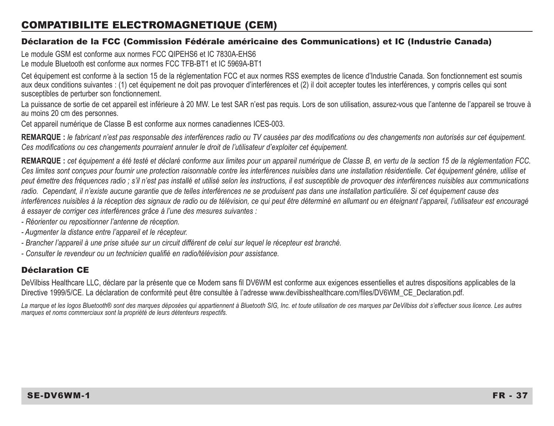#### COMPATIBILITE ELECTROMAGNETIQUE (CEM)

#### Déclaration de la FCC (Commission Fédérale américaine des Communications) et IC (Industrie Canada)

Le module GSM est conforme aux normes FCC QIPEHS6 et IC 7830A-EHS6 Le module Bluetooth est conforme aux normes FCC TFB-BT1 et IC 5969A-BT1

Cet équipement est conforme à la section 15 de la réglementation FCC et aux normes RSS exemptes de licence d'Industrie Canada. Son fonctionnement est soumis aux deux conditions suivantes : (1) cet équipement ne doit pas provoquer d'interférences et (2) il doit accepter toutes les interférences, y compris celles qui sont susceptibles de perturber son fonctionnement.

La puissance de sortie de cet appareil est inférieure à 20 MW. Le test SAR n'est pas requis. Lors de son utilisation, assurez-vous que l'antenne de l'appareil se trouve à au moins 20 cm des personnes.

Cet appareil numérique de Classe B est conforme aux normes canadiennes ICES-003.

**REMARQUE :** *le fabricant n'est pas responsable des interférences radio ou TV causées par des modifications ou des changements non autorisés sur cet équipement. Ces modifications ou ces changements pourraient annuler le droit de l'utilisateur d'exploiter cet équipement.*

**REMARQUE :** *cet équipement a été testé et déclaré conforme aux limites pour un appareil numérique de Classe B, en vertu de la section 15 de la réglementation FCC.*  Ces limites sont concues pour fournir une protection raisonnable contre les interférences nuisibles dans une installation résidentielle. Cet équipement génère, utilise et *peut émettre des fréquences radio ; s'il n'est pas installé et utilisé selon les instructions, il est susceptible de provoquer des interférences nuisibles aux communications*  radio. Cependant, il n'existe aucune garantie que de telles interférences ne se produisent pas dans une installation particulière. Si cet équipement cause des *interférences nuisibles à la réception des signaux de radio ou de télévision, ce qui peut être déterminé en allumant ou en éteignant l'appareil, l'utilisateur est encouragé à essayer de corriger ces interférences grâce à l'une des mesures suivantes :*

- *Réorienter ou repositionner l'antenne de réception.*
- *Augmenter la distance entre l'appareil et le récepteur.*
- *Brancher l'appareil à une prise située sur un circuit différent de celui sur lequel le récepteur est branché.*
- *Consulter le revendeur ou un technicien qualifié en radio/télévision pour assistance.*

#### Déclaration CE

DeVilbiss Healthcare LLC, déclare par la présente que ce Modem sans fil DV6WM est conforme aux exigences essentielles et autres dispositions applicables de la Directive 1999/5/CE. La déclaration de conformité peut être consultée à l'adresse www.devilbisshealthcare.com/files/DV6WM\_CE\_Declaration.pdf.

La marque et les logos Bluetooth® sont des marques déposées qui appartiennent à Bluetooth SIG, Inc. et toute utilisation de ces marques par DeVilbiss doit s'effectuer sous licence. Les autres *marques et noms commerciaux sont la propriété de leurs détenteurs respectifs.*